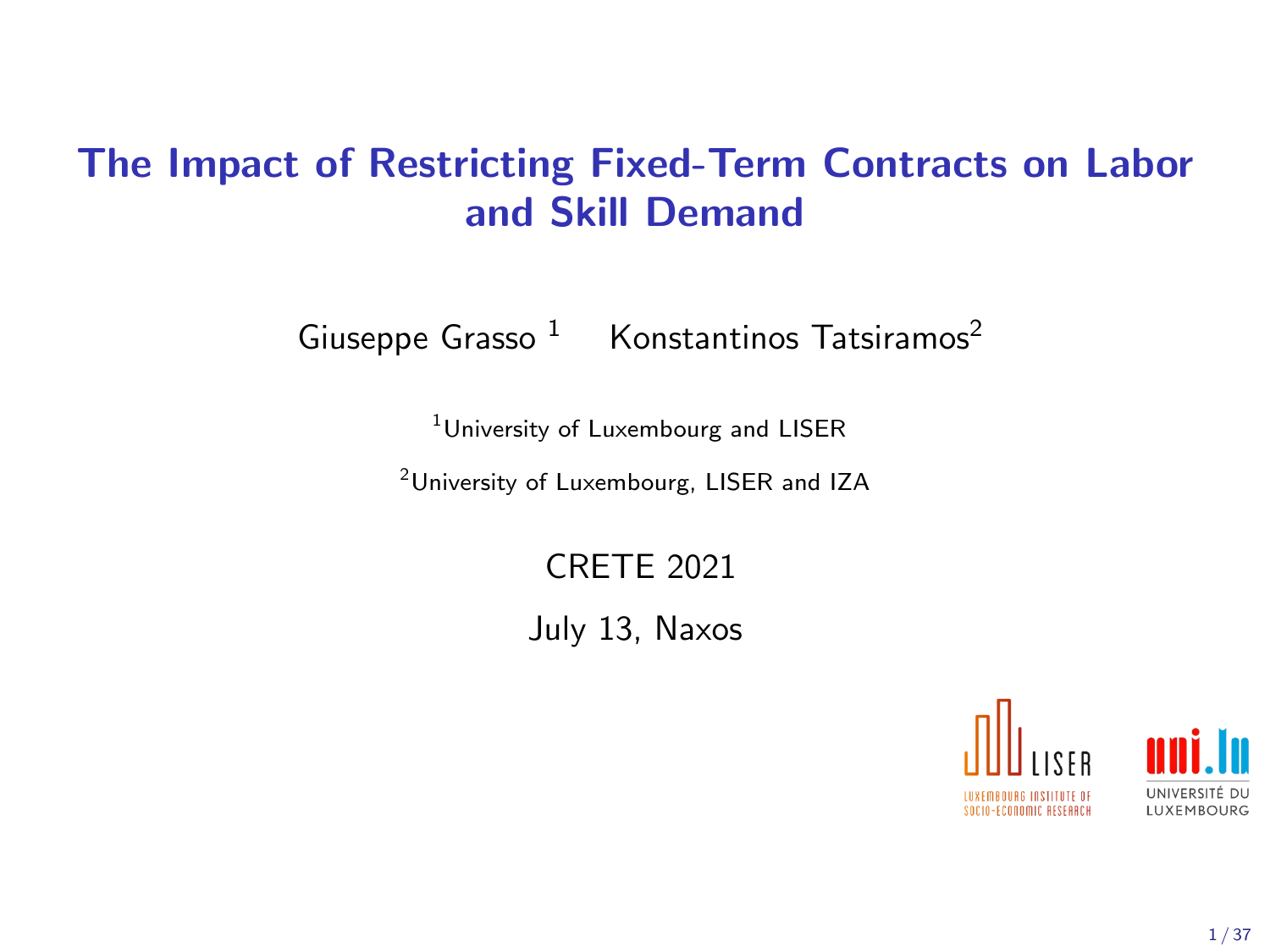## The Impact of Restricting Fixed-Term Contracts on Labor and Skill Demand

Giuseppe Grasso<sup>1</sup> Konstantinos Tatsiramos<sup>2</sup>

<sup>1</sup>University of Luxembourg and LISER

<sup>2</sup>University of Luxembourg, LISER and IZA

CRETE 2021

July 13, Naxos

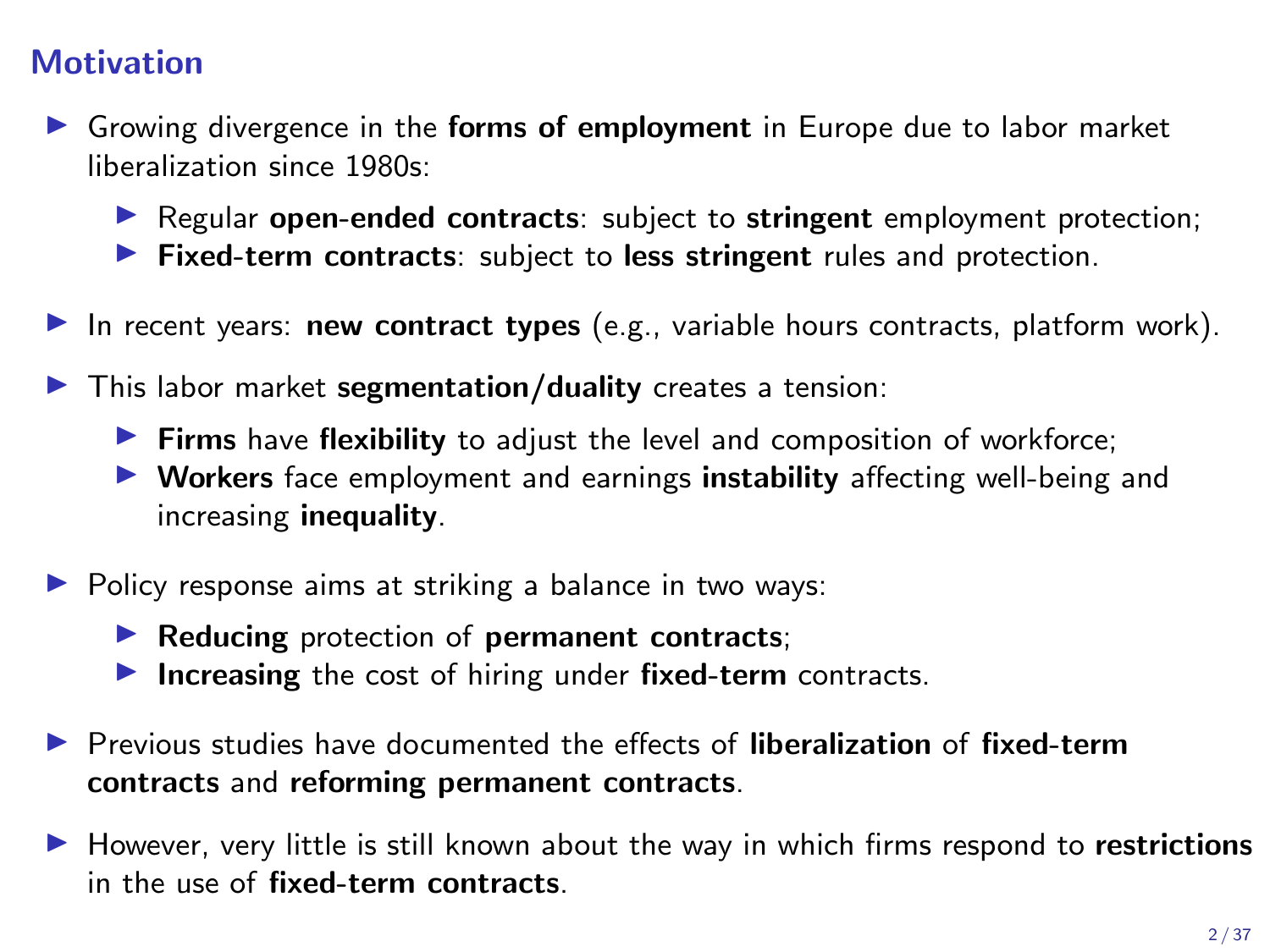### **Motivation**

- **In Growing divergence in the forms of employment in Europe due to labor market** liberalization since 1980s:
	- Regular open-ended contracts: subject to stringent employment protection;
	- $\blacktriangleright$  Fixed-term contracts: subject to less stringent rules and protection.
- In recent years: new contract types (e.g., variable hours contracts, platform work).
- $\blacktriangleright$  This labor market segmentation/duality creates a tension:
	- $\blacktriangleright$  Firms have flexibility to adjust the level and composition of workforce;
	- ▶ Workers face employment and earnings instability affecting well-being and increasing inequality.
- $\triangleright$  Policy response aims at striking a balance in two ways:
	- $\blacktriangleright$  Reducing protection of permanent contracts;
	- Increasing the cost of hiring under fixed-term contracts.
- ▶ Previous studies have documented the effects of liberalization of fixed-term contracts and reforming permanent contracts.
- $\blacktriangleright$  However, very little is still known about the way in which firms respond to restrictions in the use of fixed-term contracts.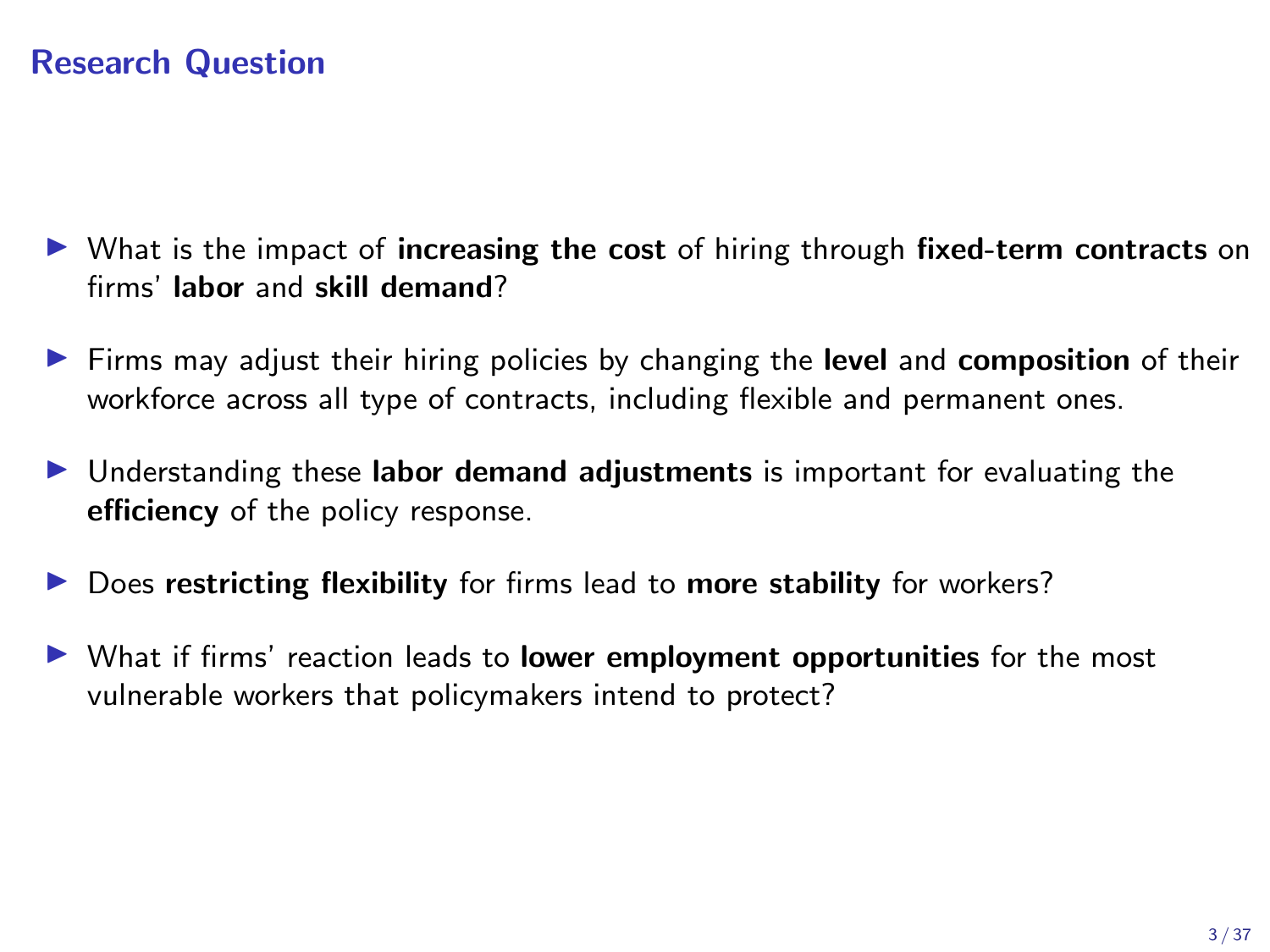### Research Question

- $\triangleright$  What is the impact of increasing the cost of hiring through fixed-term contracts on firms' labor and skill demand?
- $\triangleright$  Firms may adjust their hiring policies by changing the level and composition of their workforce across all type of contracts, including flexible and permanent ones.
- Inderstanding these labor demand adjustments is important for evaluating the efficiency of the policy response.
- $\triangleright$  Does restricting flexibility for firms lead to more stability for workers?
- $\triangleright$  What if firms' reaction leads to lower employment opportunities for the most vulnerable workers that policymakers intend to protect?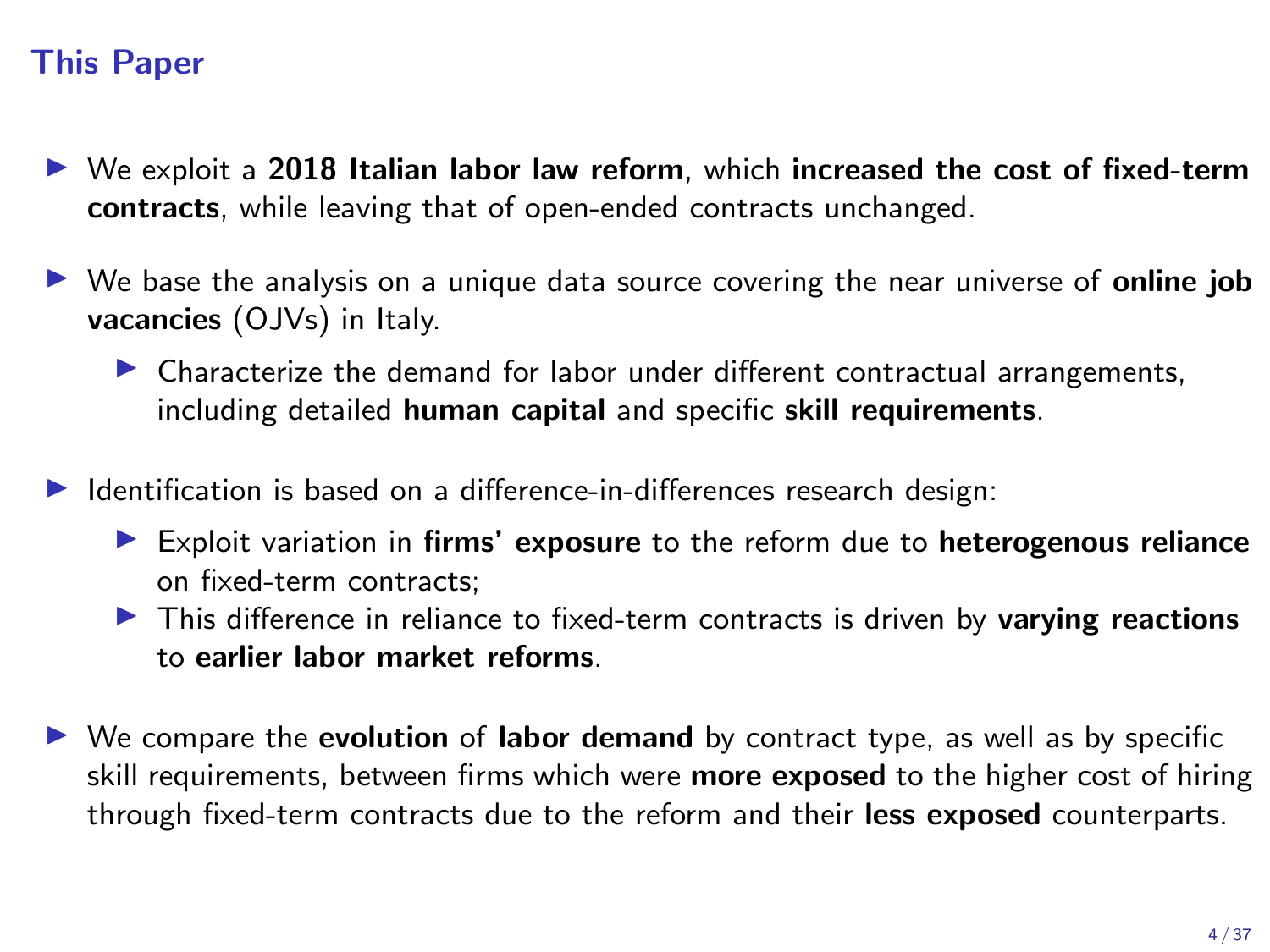### This Paper

- $\triangleright$  We exploit a 2018 Italian labor law reform, which increased the cost of fixed-term contracts, while leaving that of open-ended contracts unchanged.
- $\triangleright$  We base the analysis on a unique data source covering the near universe of **online job** vacancies (OJVs) in Italy.
	- $\triangleright$  Characterize the demand for labor under different contractual arrangements, including detailed human capital and specific skill requirements.
- Identification is based on a difference-in-differences research design:
	- $\blacktriangleright$  Exploit variation in firms' exposure to the reform due to heterogenous reliance on fixed-term contracts;
	- In This difference in reliance to fixed-term contracts is driven by varying reactions to earlier labor market reforms.
- $\triangleright$  We compare the **evolution** of **labor demand** by contract type, as well as by specific skill requirements, between firms which were **more exposed** to the higher cost of hiring through fixed-term contracts due to the reform and their less exposed counterparts.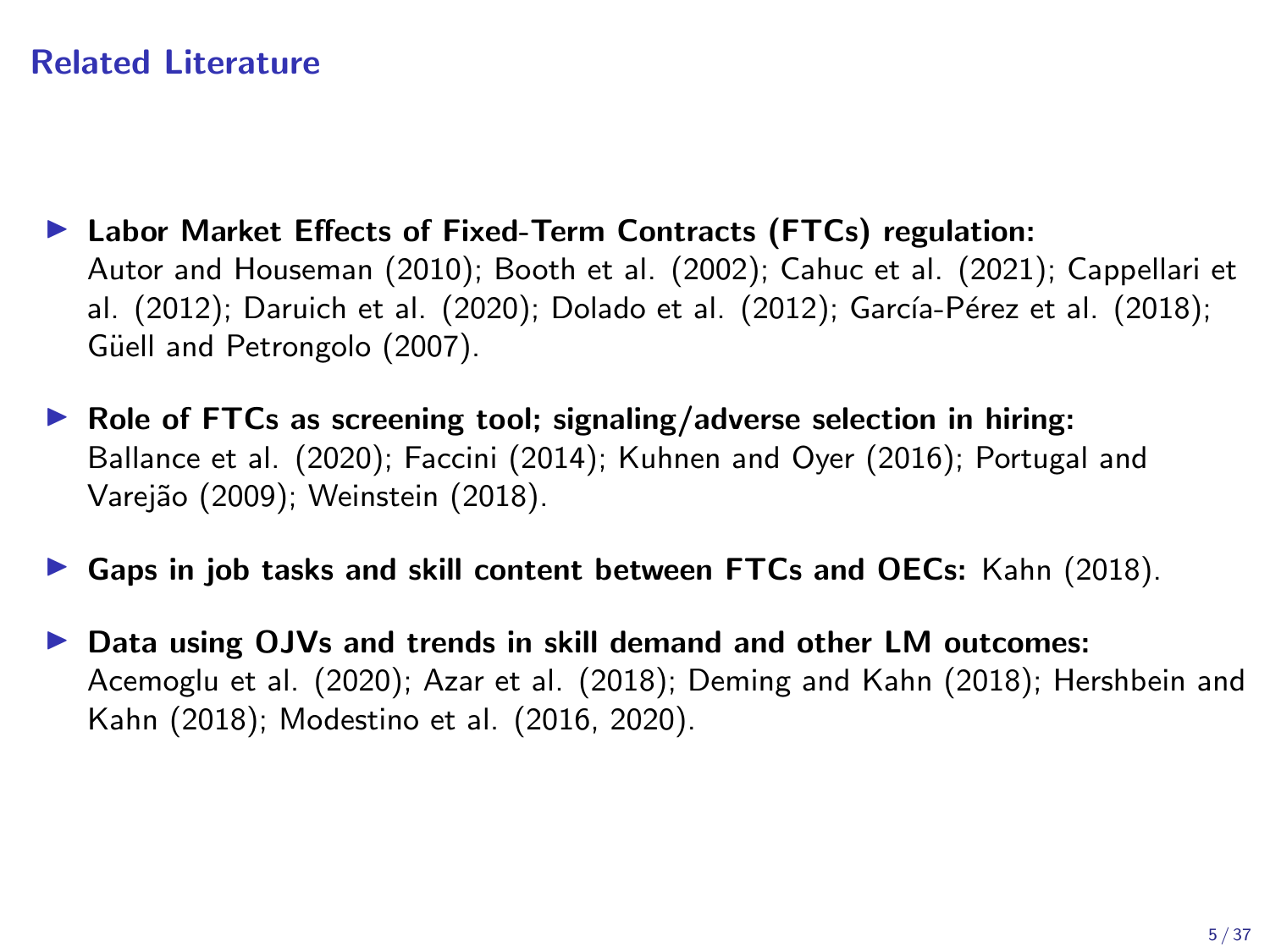### Related Literature

- ▶ Labor Market Effects of Fixed-Term Contracts (FTCs) regulation: Autor and Houseman (2010); Booth et al. (2002); Cahuc et al. (2021); Cappellari et al. (2012); Daruich et al. (2020); Dolado et al. (2012); García-Pérez et al. (2018); Güell and Petrongolo (2007).
- $\triangleright$  Role of FTCs as screening tool; signaling/adverse selection in hiring: Ballance et al. (2020); Faccini (2014); Kuhnen and Oyer (2016); Portugal and Varejão (2009); Weinstein (2018).
- Gaps in job tasks and skill content between FTCs and OECs: Kahn  $(2018)$ .
- Data using OJVs and trends in skill demand and other LM outcomes: Acemoglu et al. (2020); Azar et al. (2018); Deming and Kahn (2018); Hershbein and Kahn (2018); Modestino et al. (2016, 2020).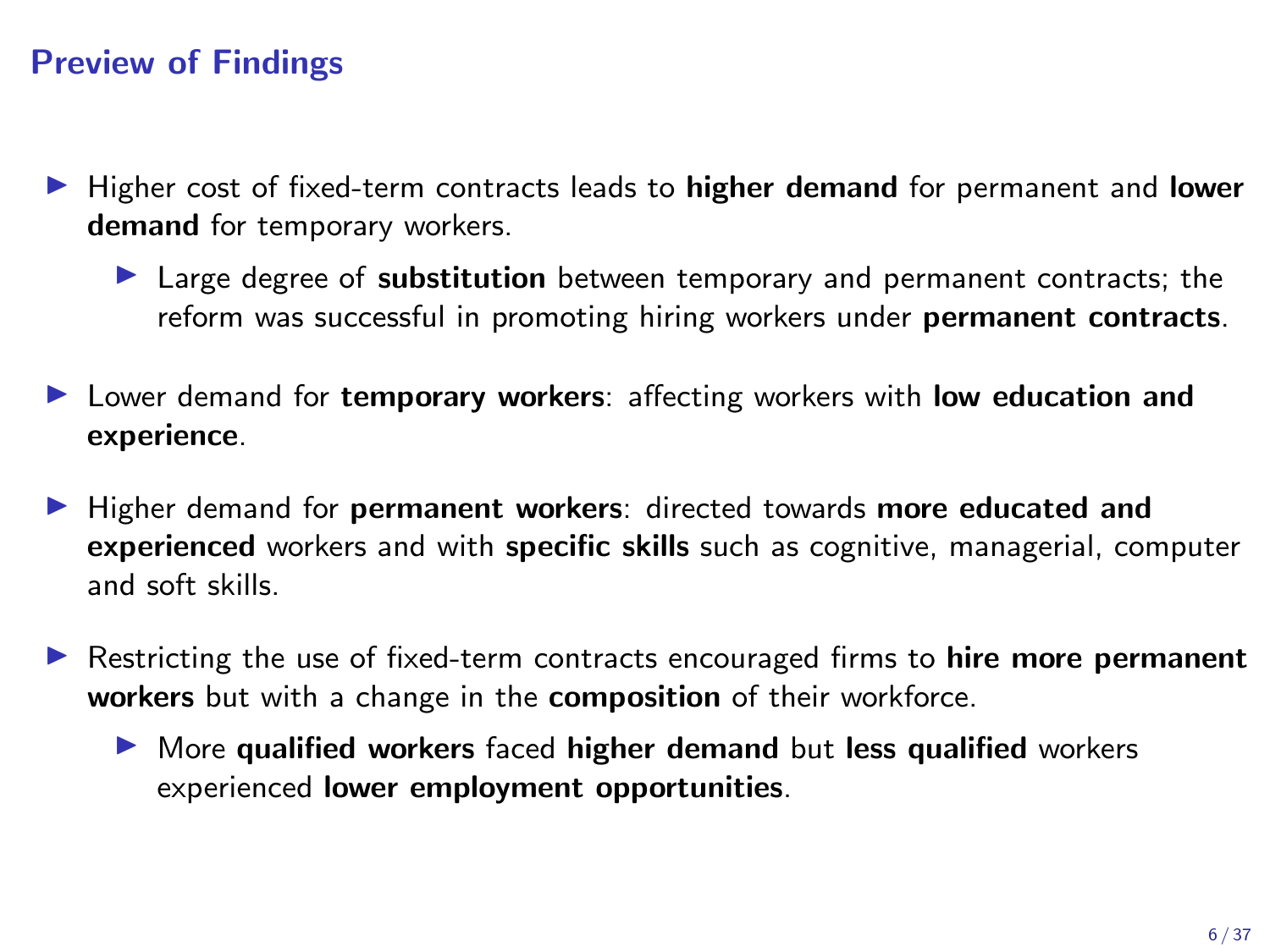### Preview of Findings

- $\blacktriangleright$  Higher cost of fixed-term contracts leads to **higher demand** for permanent and **lower** demand for temporary workers.
	- In Large degree of substitution between temporary and permanent contracts; the reform was successful in promoting hiring workers under permanent contracts.
- ► Lower demand for temporary workers: affecting workers with low education and experience.
- I Higher demand for permanent workers: directed towards more educated and experienced workers and with specific skills such as cognitive, managerial, computer and soft skills.
- $\triangleright$  Restricting the use of fixed-term contracts encouraged firms to hire more permanent workers but with a change in the composition of their workforce.
	- $\triangleright$  More qualified workers faced higher demand but less qualified workers experienced lower employment opportunities.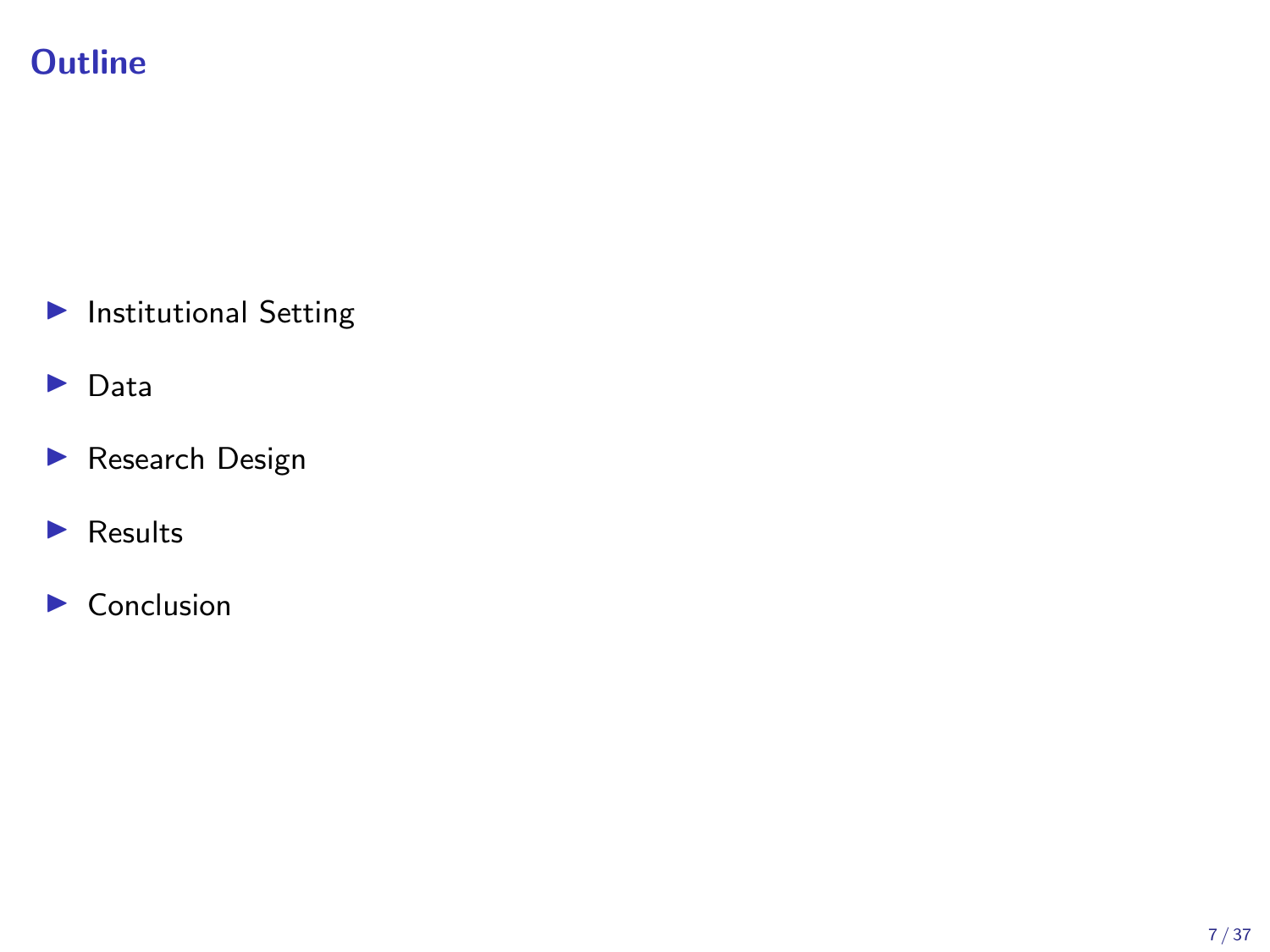## **Outline**

- $\blacktriangleright$  Institutional Setting
- $\blacktriangleright$  Data
- Research Design
- $\blacktriangleright$  Results
- $\blacktriangleright$  Conclusion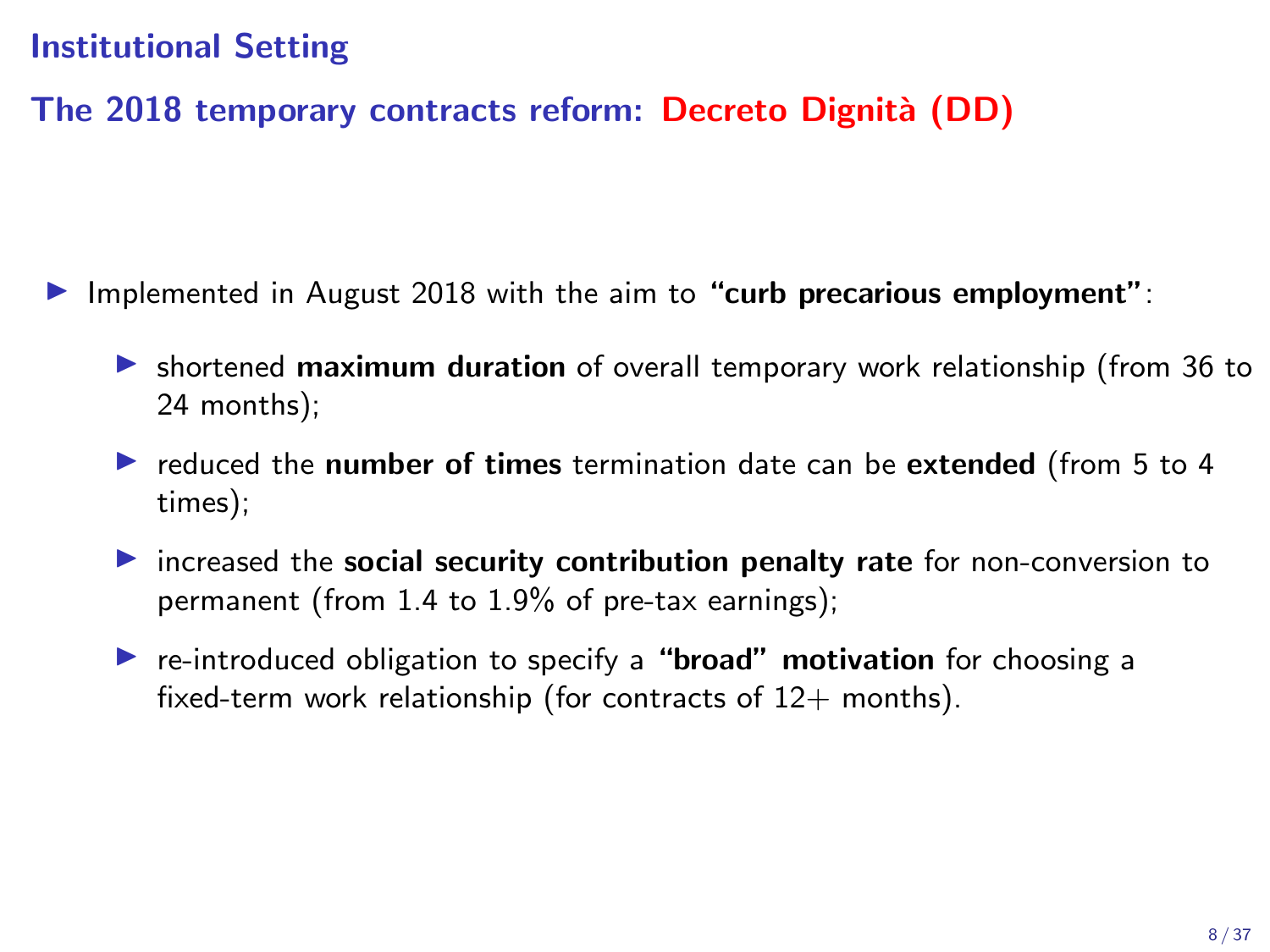### Institutional Setting

### The 2018 temporary contracts reform: Decreto Dignità (DD)

- Implemented in August 2018 with the aim to "curb precarious employment":
	- In shortened maximum duration of overall temporary work relationship (from 36 to 24 months);
	- $\triangleright$  reduced the number of times termination date can be extended (from 5 to 4 times);
	- $\triangleright$  increased the social security contribution penalty rate for non-conversion to permanent (from 1.4 to 1.9% of pre-tax earnings);
	- $\triangleright$  re-introduced obligation to specify a "**broad" motivation** for choosing a fixed-term work relationship (for contracts of  $12+$  months).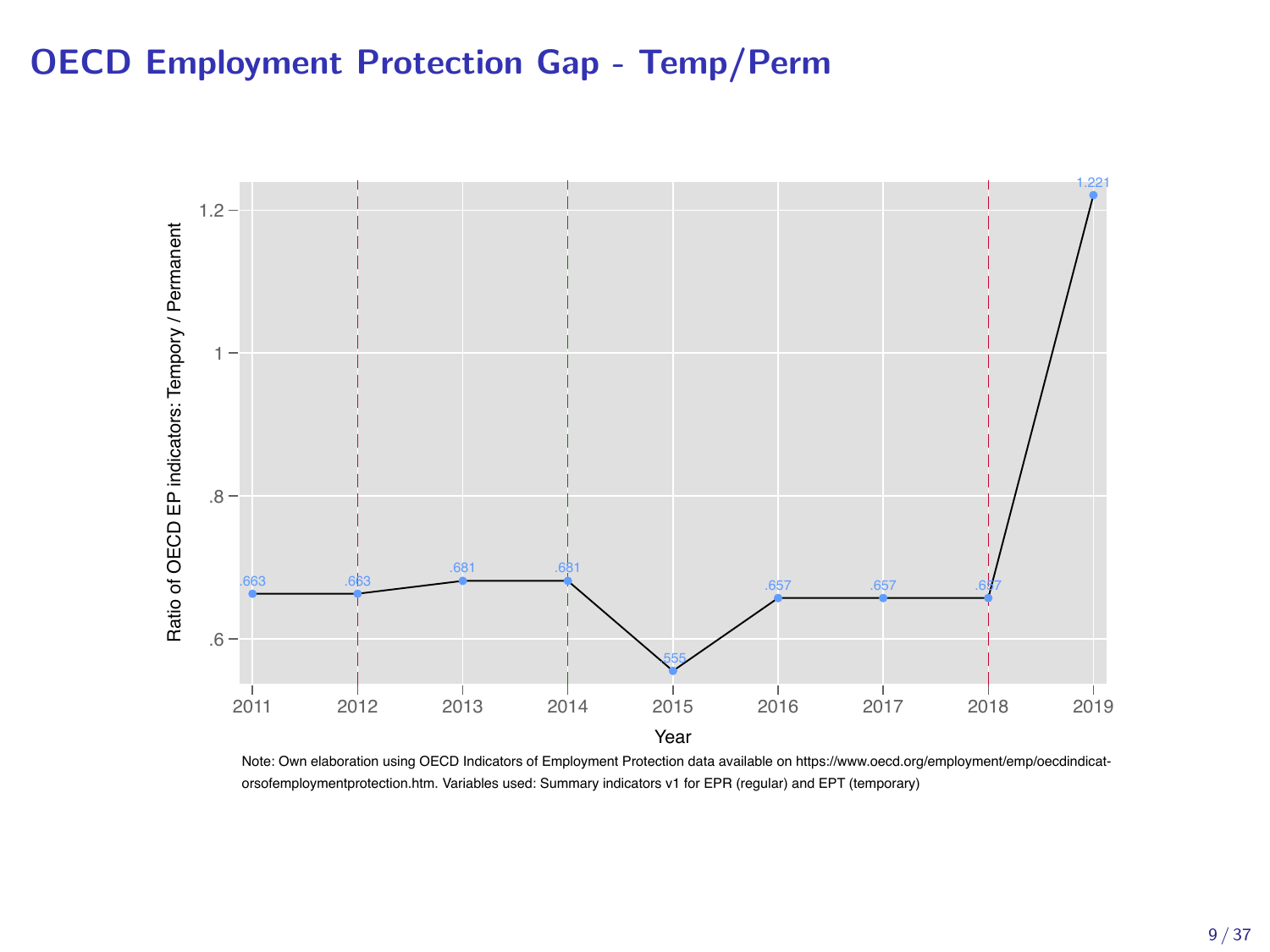### OECD Employment Protection Gap - Temp/Perm



Note: Own elaboration using OECD Indicators of Employment Protection data available on https://www.oecd.org/employment/emp/oecdindicatorsofemploymentprotection.htm. Variables used: Summary indicators v1 for EPR (regular) and EPT (temporary)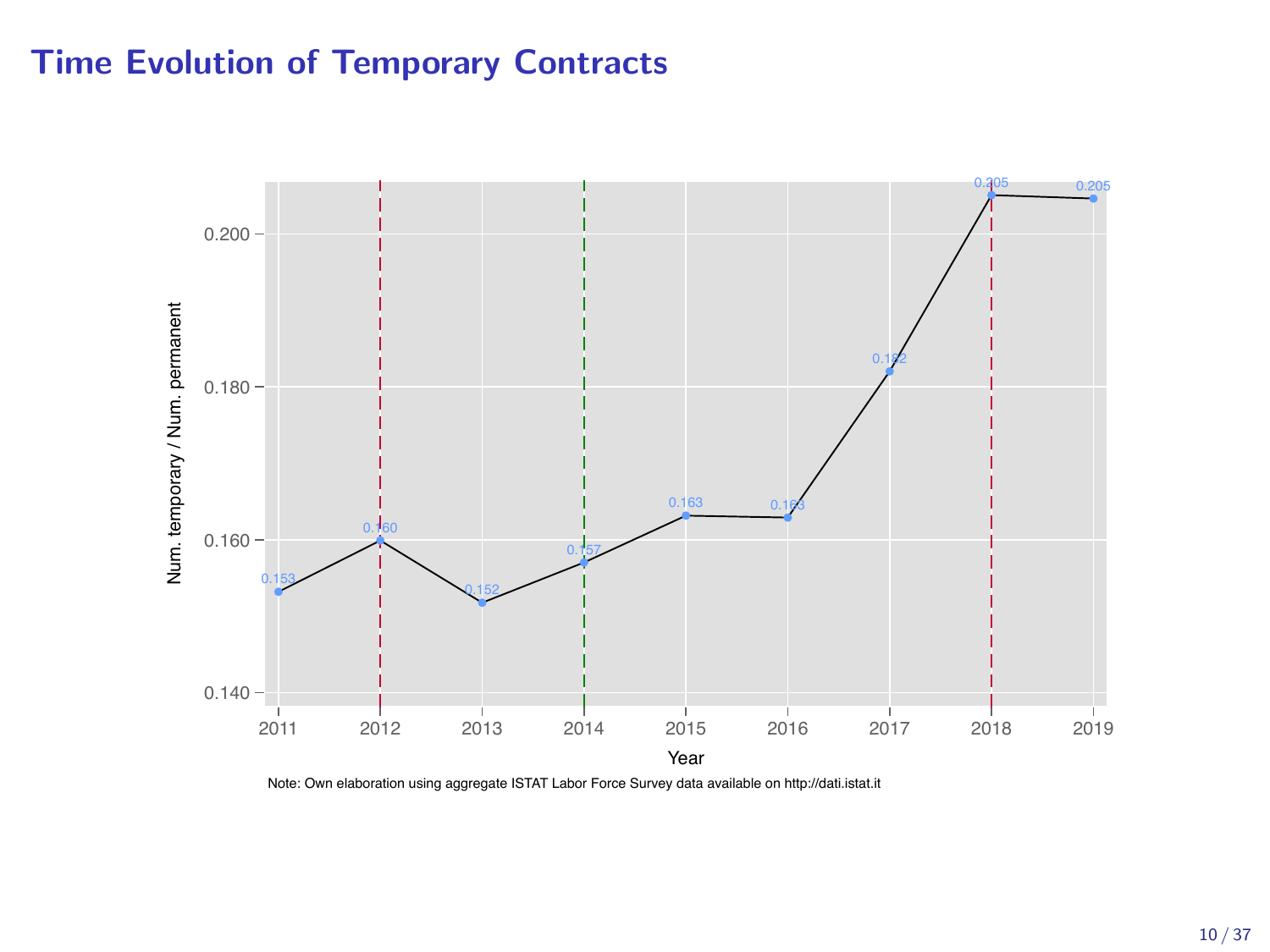### Time Evolution of Temporary Contracts



Note: Own elaboration using aggregate ISTAT Labor Force Survey data available on http://dati.istat.it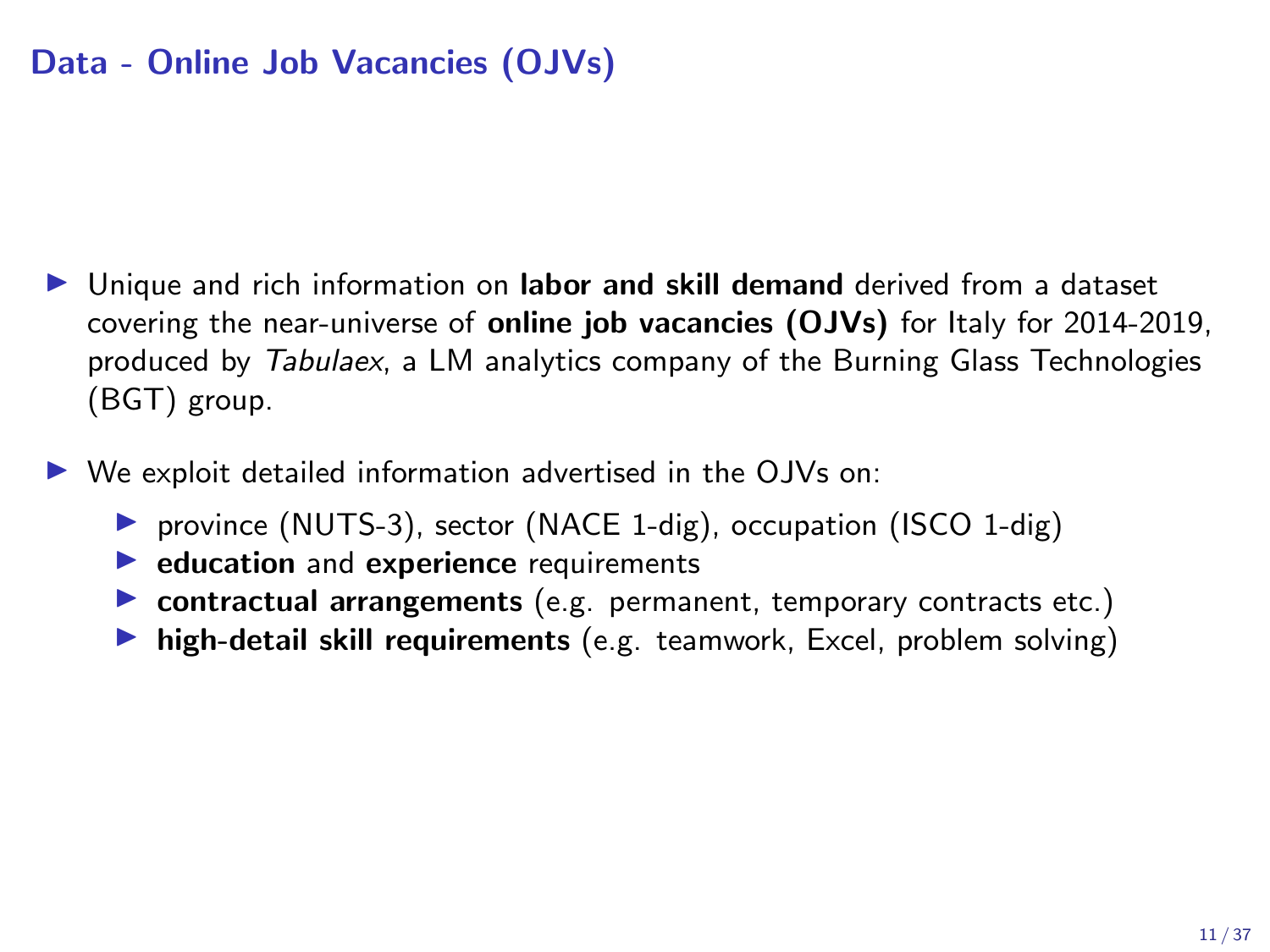### Data - Online Job Vacancies (OJVs)

- I Unique and rich information on labor and skill demand derived from a dataset covering the near-universe of online job vacancies (OJVs) for Italy for 2014-2019, produced by *Tabulaex*, a LM analytics company of the Burning Glass Technologies (BGT) group.
- We exploit detailed information advertised in the OJVs on:
	- ▶ province (NUTS-3), sector (NACE 1-dig), occupation (ISCO 1-dig)
	- $\blacktriangleright$  education and experience requirements
	- $\triangleright$  contractual arrangements (e.g. permanent, temporary contracts etc.)
	- $\blacktriangleright$  high-detail skill requirements (e.g. teamwork, Excel, problem solving)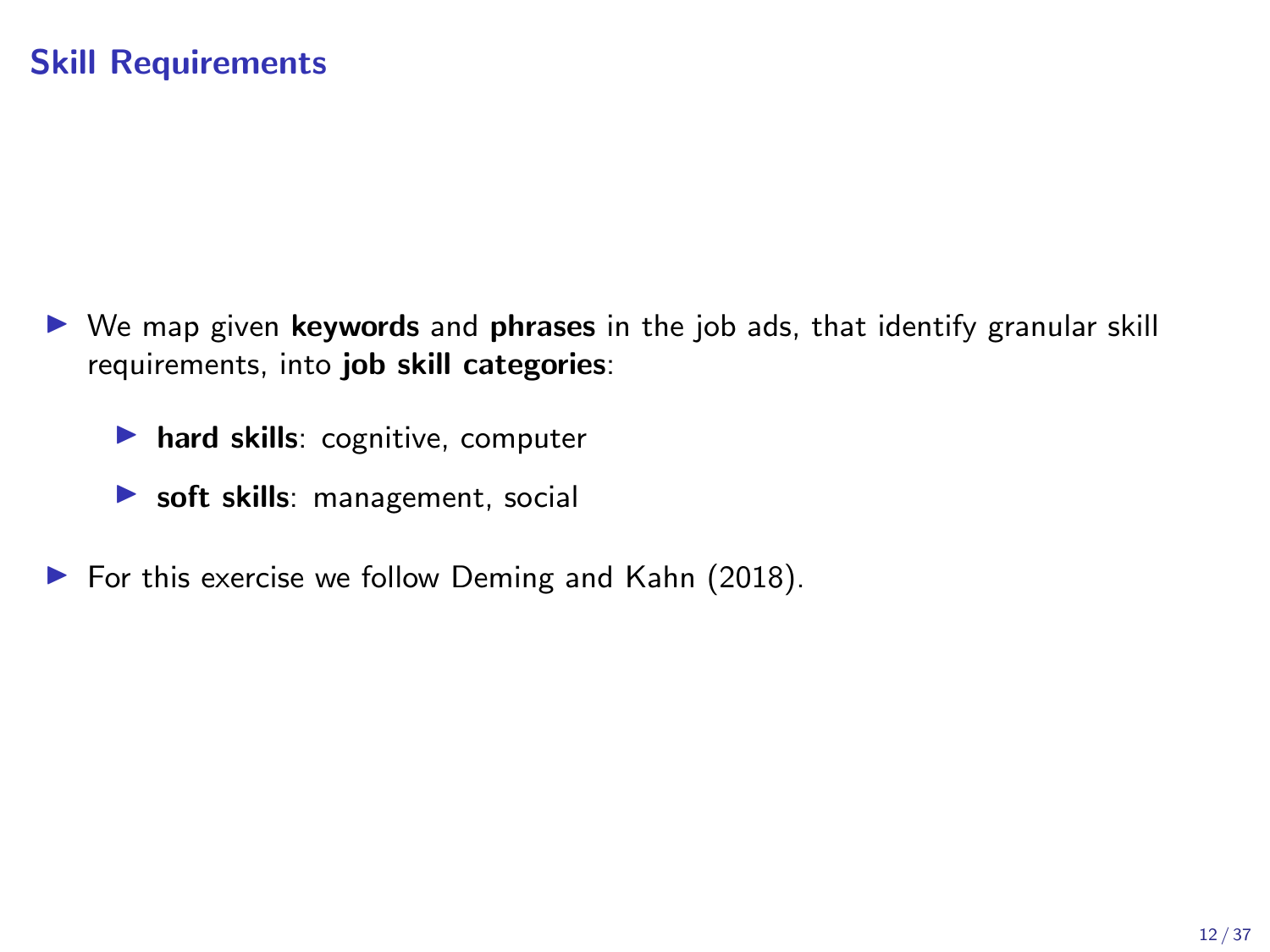- $\triangleright$  We map given keywords and phrases in the job ads, that identify granular skill requirements, into job skill categories:
	- $\blacktriangleright$  hard skills: cognitive, computer
	- $\triangleright$  soft skills: management, social
- $\triangleright$  For this exercise we follow Deming and Kahn (2018).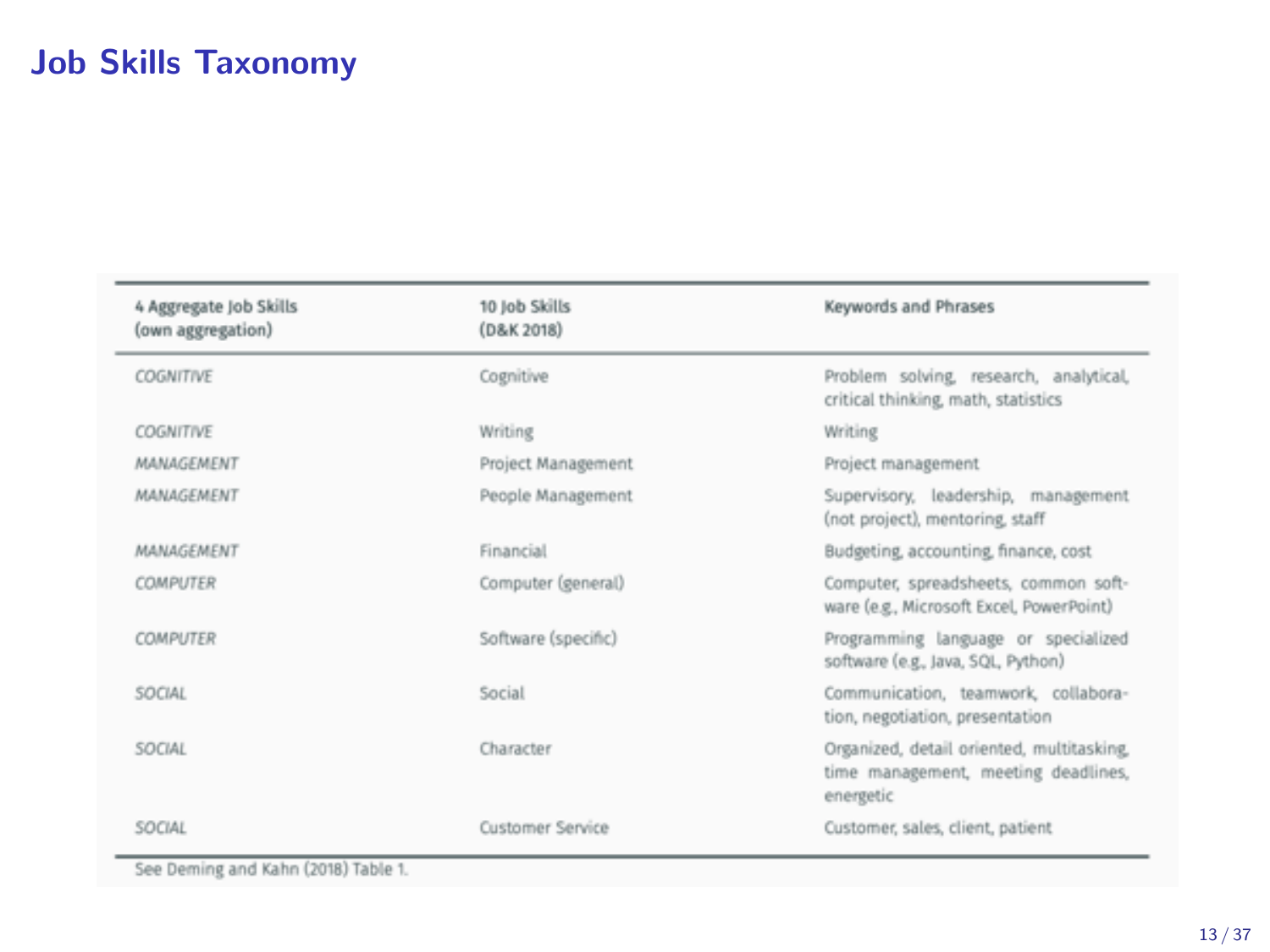## Job Skills Taxonomy

| 4 Aggregate Job Skills<br>(own aggregation) | 10 Job Skills<br>(D&K 2018) | Keywords and Phrases                                                                          |
|---------------------------------------------|-----------------------------|-----------------------------------------------------------------------------------------------|
| COGNITIVE                                   | Cognitive                   | Problem solving, research, analytical,<br>critical thinking, math, statistics                 |
| COGNITIVE                                   | Writing                     | Writing                                                                                       |
| MANAGEMENT                                  | Project Management          | Project management                                                                            |
| MANAGEMENT                                  | People Management           | Supervisory, leadership, management<br>(not project), mentoring, staff                        |
| MANAGEMENT                                  | Financial                   | Budgeting, accounting, finance, cost                                                          |
| <b>COMPUTER</b>                             | Computer (general)          | Computer, spreadsheets, common soft-<br>ware (e.g., Microsoft Excel, PowerPoint)              |
| COMPUTER                                    | Software (specific)         | Programming language or specialized<br>software (e.g., Java, SQL, Python)                     |
| SOCIAL                                      | Social                      | Communication, teamwork, collabora-<br>tion, negotiation, presentation                        |
| SOCIAL                                      | Character                   | Organized, detail oriented, multitasking,<br>time management, meeting deadlines,<br>energetic |
| SOCIAL                                      | Customer Service            | Customer, sales, client, patient                                                              |

See Deming and Kahn (2018) Table 1.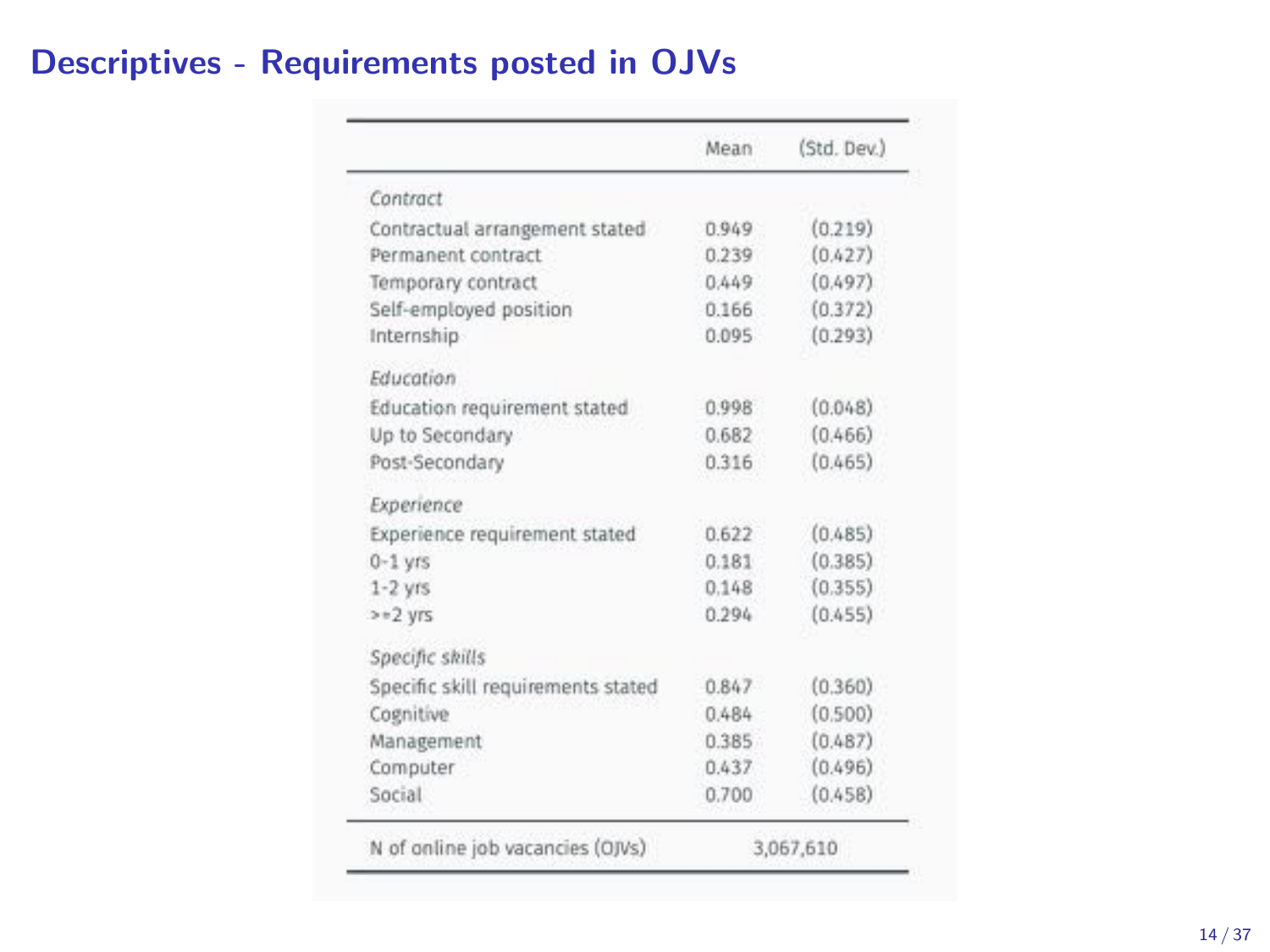## Descriptives - Requirements posted in OJVs

|                                    | Mean      | (Std. Dev.) |
|------------------------------------|-----------|-------------|
| Contract                           |           |             |
| Contractual arrangement stated     | 0.949     | (0.219)     |
| Permanent contract                 | 0.239     | (0.427)     |
| Temporary contract                 | 0.449     | (0.497)     |
| Self-employed position             | 0.166     | (0.372)     |
| Internship                         | 0.095     | (0.293)     |
| Education                          |           |             |
| Education requirement stated       | 0.998     | (0.048)     |
| Up to Secondary                    | 0.682     | (0.466)     |
| Post-Secondary                     | 0.316     | (0.465)     |
| Experience                         |           |             |
| Experience requirement stated      | 0.622     | (0.485)     |
| $0-1$ vrs                          | 0.181     | (0.385)     |
| $1-2$ yrs                          | 0.148     | (0.355)     |
| $>=2$ yrs                          | 0.294     | (0.455)     |
| Specific skills                    |           |             |
| Specific skill requirements stated | 0.847     | (0.360)     |
| Cognitive                          | 0.484     | (0.500)     |
| Management                         | 0.385     | (0.487)     |
| Computer                           | 0.437     | (0.496)     |
| Social                             | 0.700     | (0.458)     |
| N of online job vacancies (OJVs)   | 3.067.610 |             |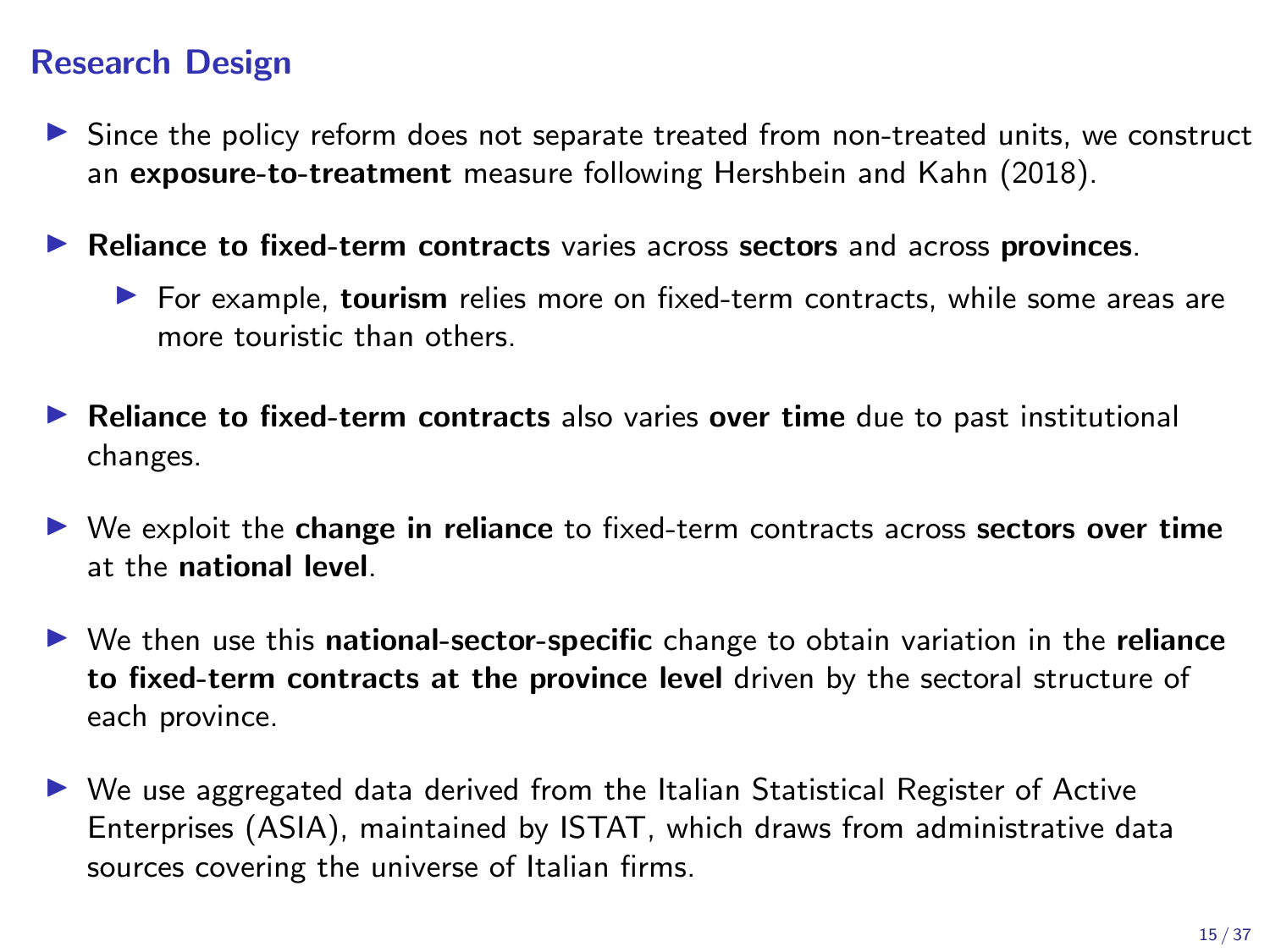### Research Design

- $\triangleright$  Since the policy reform does not separate treated from non-treated units, we construct an exposure-to-treatment measure following Hershbein and Kahn (2018).
- $\blacktriangleright$  Reliance to fixed-term contracts varies across sectors and across provinces.
	- $\blacktriangleright$  For example, tourism relies more on fixed-term contracts, while some areas are more touristic than others.
- $\blacktriangleright$  Reliance to fixed-term contracts also varies over time due to past institutional changes.
- $\triangleright$  We exploit the change in reliance to fixed-term contracts across sectors over time at the national level.
- $\triangleright$  We then use this national-sector-specific change to obtain variation in the reliance to fixed-term contracts at the province level driven by the sectoral structure of each province.
- $\triangleright$  We use aggregated data derived from the Italian Statistical Register of Active Enterprises (ASIA), maintained by ISTAT, which draws from administrative data sources covering the universe of Italian firms.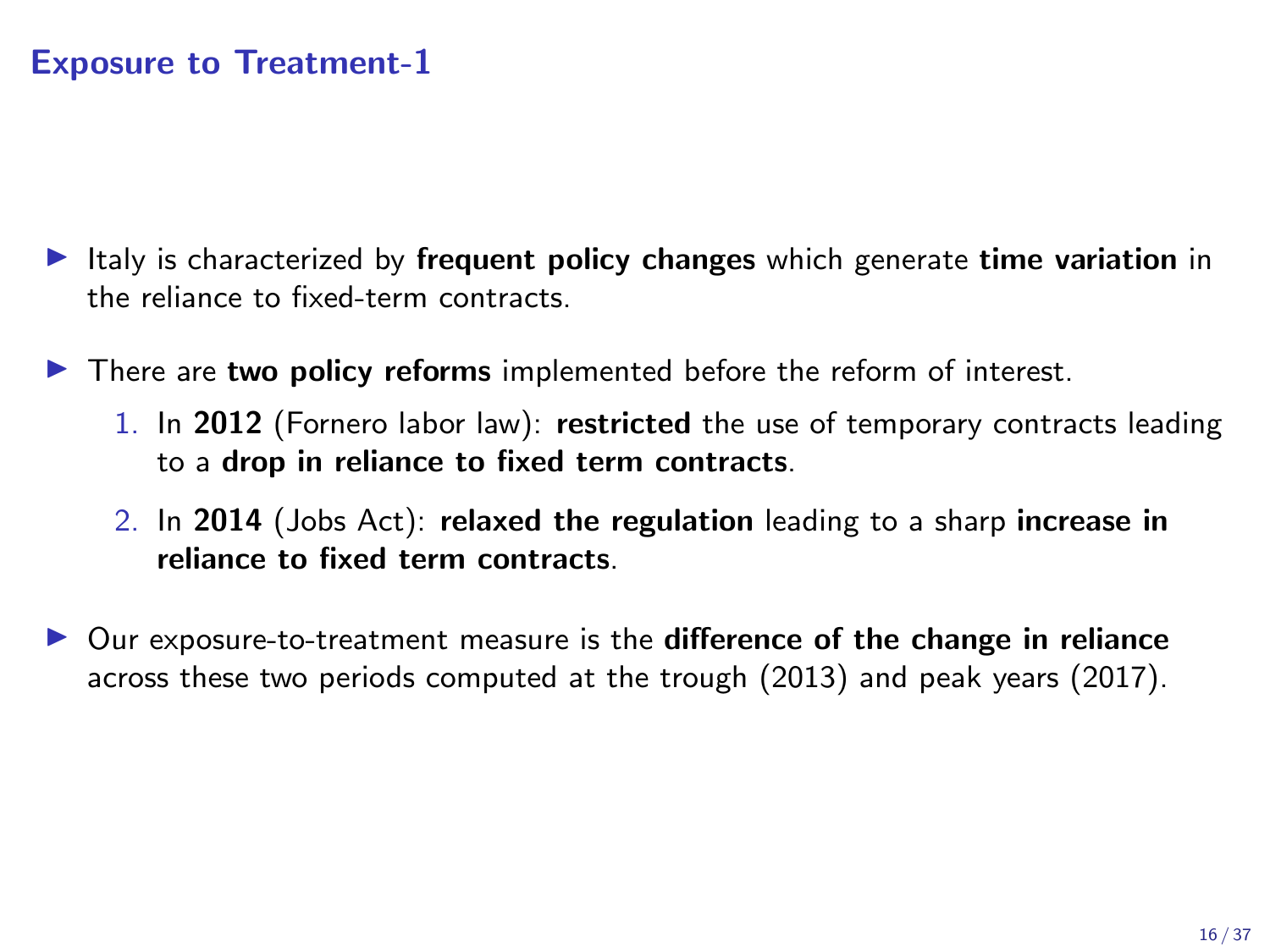### Exposure to Treatment-1

- Italy is characterized by frequent policy changes which generate time variation in the reliance to fixed-term contracts.
- $\blacktriangleright$  There are two policy reforms implemented before the reform of interest.
	- 1. In 2012 (Fornero labor law): restricted the use of temporary contracts leading to a drop in reliance to fixed term contracts.
	- 2. In 2014 (Jobs Act): relaxed the regulation leading to a sharp increase in reliance to fixed term contracts.
- Our exposure-to-treatment measure is the difference of the change in reliance across these two periods computed at the trough (2013) and peak years (2017).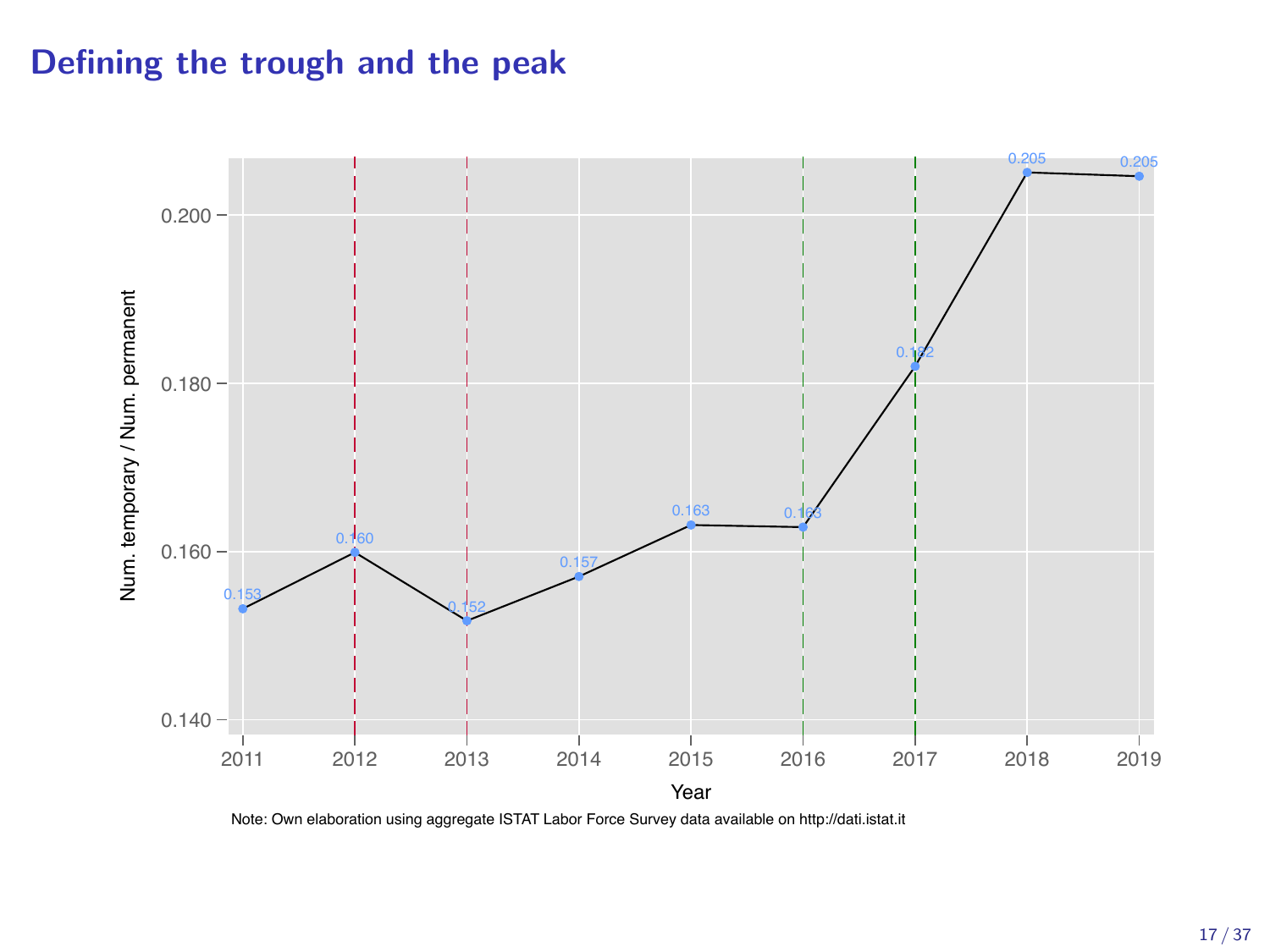### Defining the trough and the peak



Note: Own elaboration using aggregate ISTAT Labor Force Survey data available on http://dati.istat.it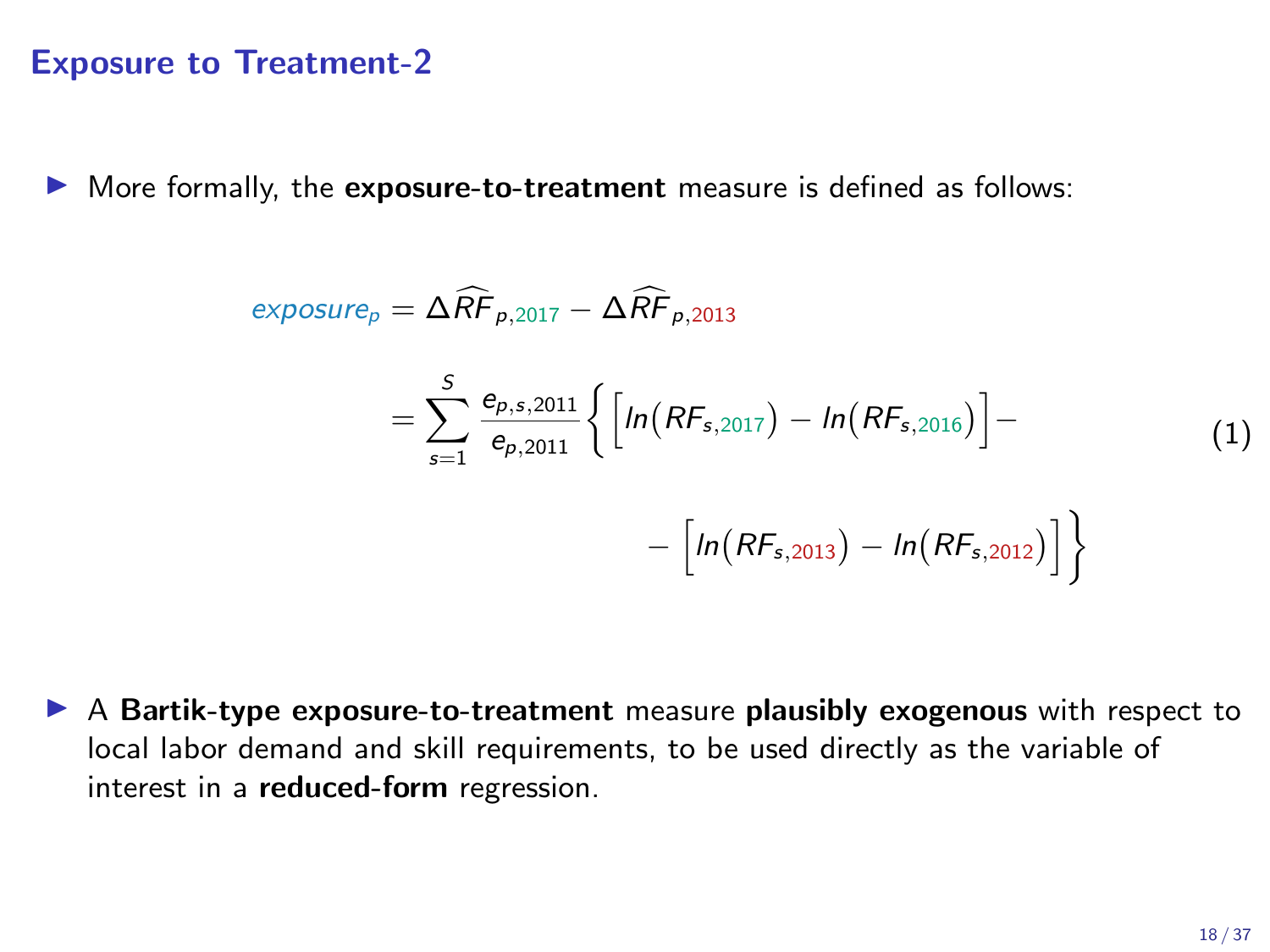### Exposure to Treatment-2

 $\triangleright$  More formally, the exposure-to-treatment measure is defined as follows:

$$
\exposure_p = \Delta \widehat{RF}_{p,2017} - \Delta \widehat{RF}_{p,2013}
$$
  
= 
$$
\sum_{s=1}^{S} \frac{e_{p,s,2011}}{e_{p,2011}} \Biggl\{ \Biggl[ ln(RF_{s,2017}) - ln(RF_{s,2016}) \Biggr] - \Biggl[ ln(RF_{s,2013}) - ln(RF_{s,2012}) \Biggr] \Biggr\}
$$
(1)

 $\triangleright$  A Bartik-type exposure-to-treatment measure plausibly exogenous with respect to local labor demand and skill requirements, to be used directly as the variable of interest in a reduced-form regression.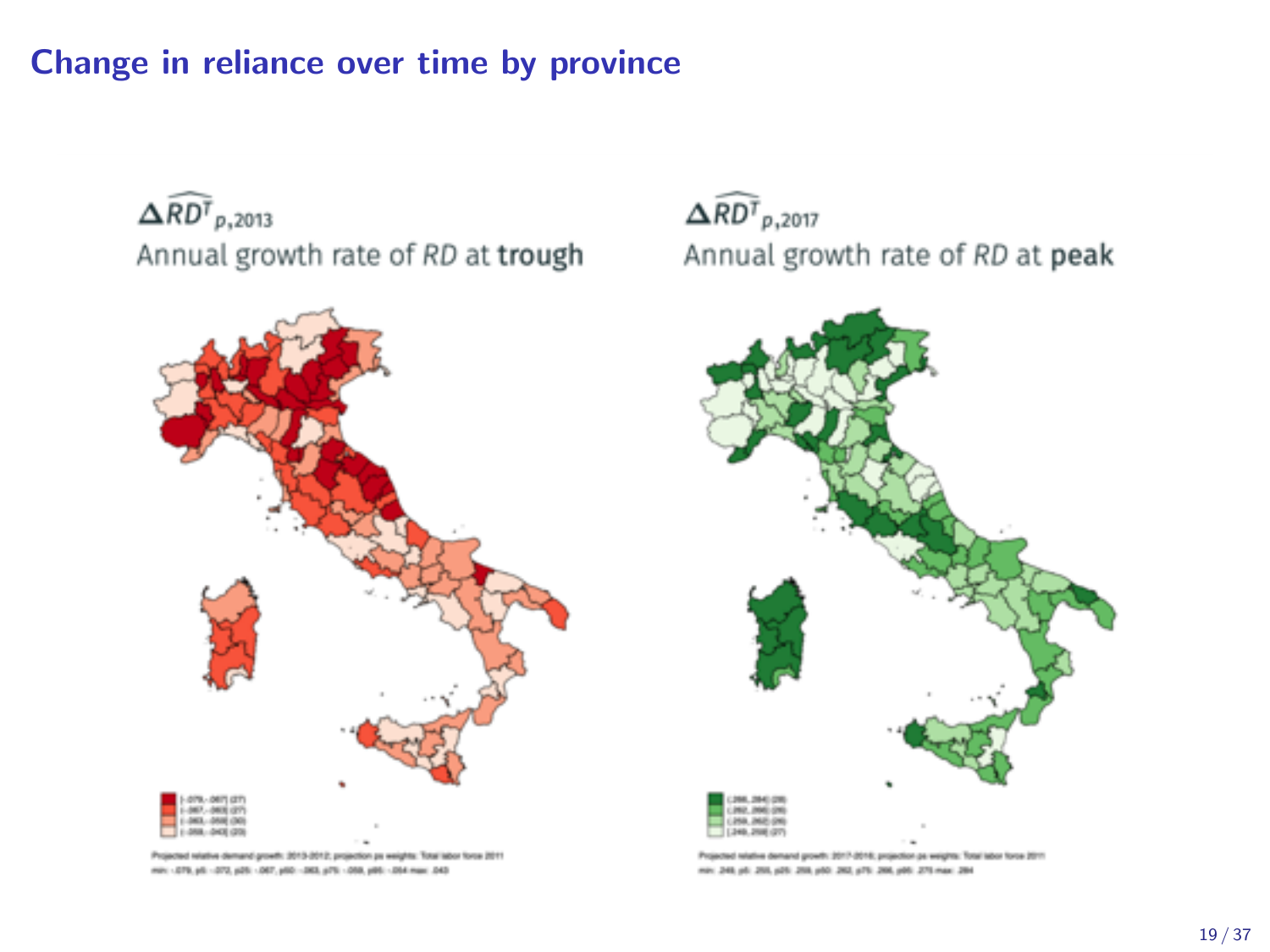### Change in reliance over time by province

 $\Delta \widehat{RD}^T$ <sub>p</sub>,2013 Annual growth rate of RD at trough



Projected relative demand growth: 3013-3012; projection ps weights: Total labor force 2011 min: - 079, p6 - 070, p26 - 067, p50 - 063, p76 - 068, p86 - 054 mair. 043

 $\widehat{\Delta RDF}_{p,2017}$ Annual growth rate of RD at peak



Projected relative demand growth: 3017-2016; projection ps weights: Total labor force 2011 min: 249, pb. 255, p25, 256, p35, 262, p75, 266, p95, 275 max: 284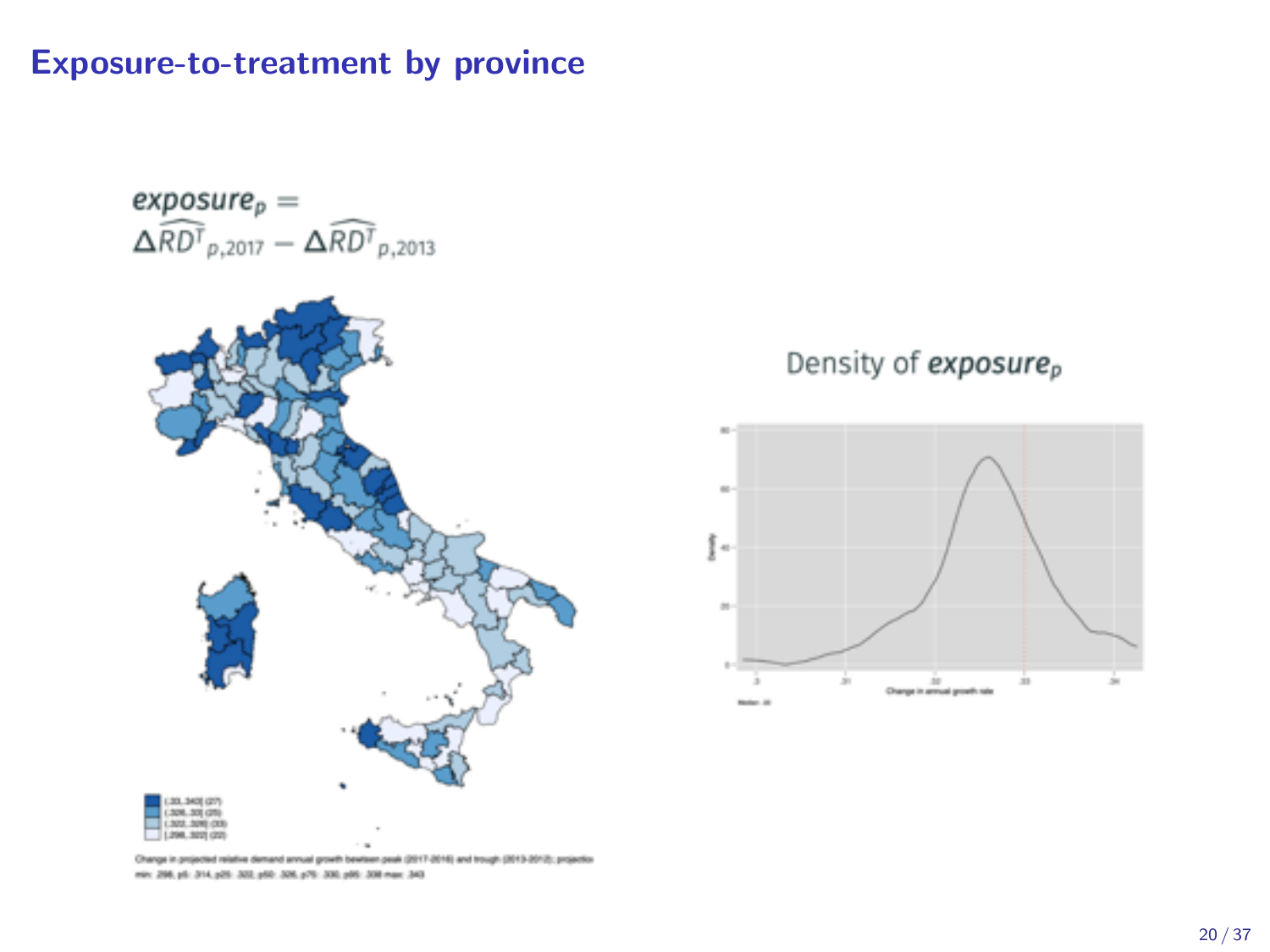Exposure-to-treatment by province

 $\mathit{exposure}_p =$  $\widehat{\Delta RDF}_{p,2017} - \widehat{\Delta RDF}_{p,2013}$ 



### Density of exposure<sub>p</sub>



Change in projected relative demand annual growth bewteen peak (2017-2016) and trough (2013-2012); projection min: 206, pli: 214, p25: 202, p50: 206, p70: 208, p95: 208 mar: 240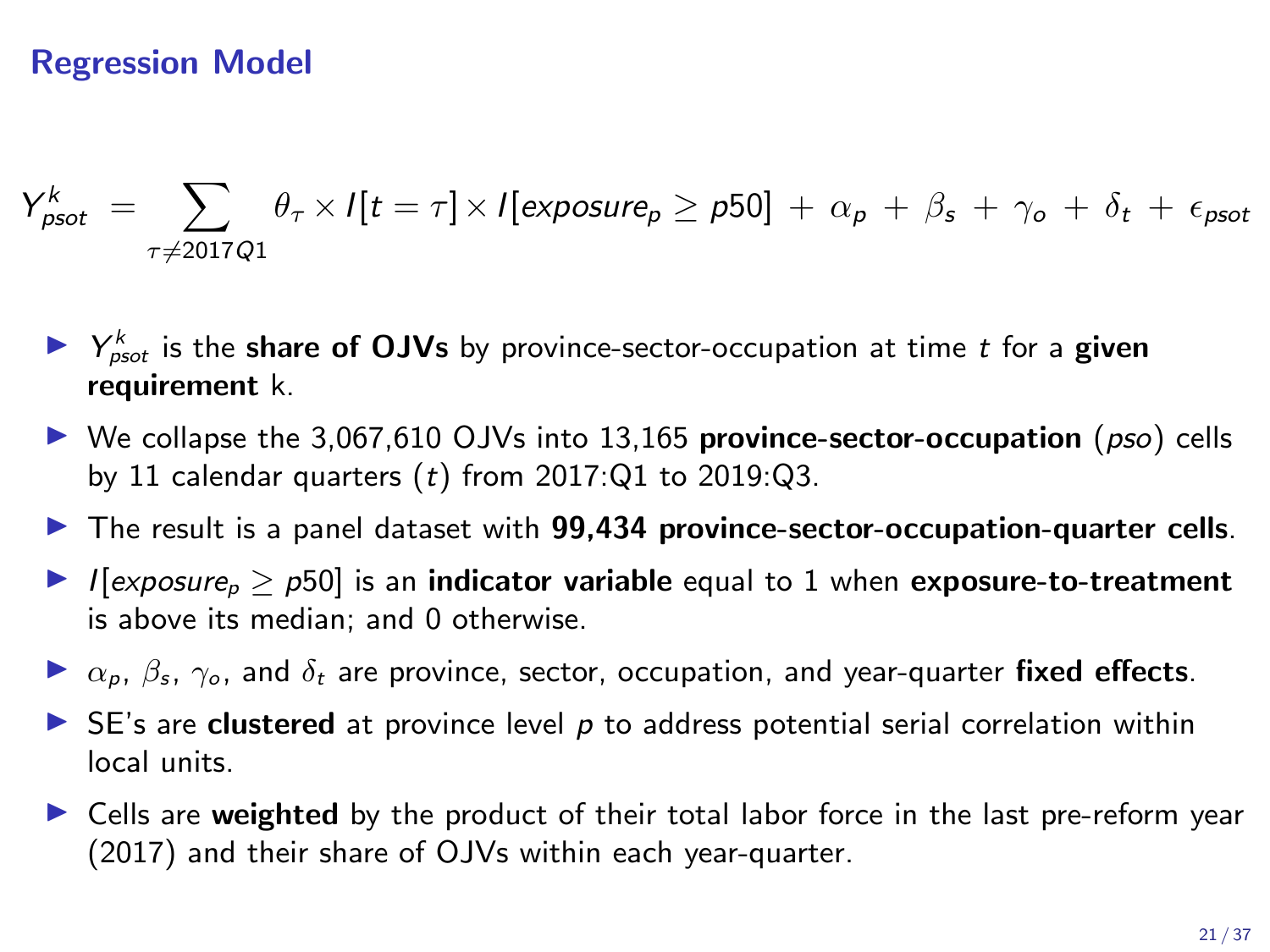### Regression Model

$$
Y_{\text{psot}}^k = \sum_{\tau \neq 2017Q1} \theta_{\tau} \times I[t = \tau] \times I[\text{exposure}_p \geq p50] + \alpha_p + \beta_s + \gamma_o + \delta_t + \epsilon_{\text{psot}}
$$

- $\blacktriangleright$   $Y_{\text{psot}}^k$  is the share of OJVs by province-sector-occupation at time *t* for a given requirement k.
- ▶ We collapse the 3,067,610 OJVs into 13,165 province-sector-occupation (*pso*) cells by 11 calendar quarters (*t*) from 2017:Q1 to 2019:Q3.
- $\triangleright$  The result is a panel dataset with 99,434 province-sector-occupation-quarter cells.
- $\blacktriangleright$  *I*[*exposure<sub>p</sub>*  $>$  *p*50] is an indicator variable equal to 1 when exposure-to-treatment is above its median; and 0 otherwise.
- $\triangleright \alpha_p$ ,  $\beta_s$ ,  $\gamma_o$ , and  $\delta_t$  are province, sector, occupation, and year-quarter fixed effects.
- ► SE's are **clustered** at province level p to address potential serial correlation within local units.
- $\triangleright$  Cells are weighted by the product of their total labor force in the last pre-reform year (2017) and their share of OJVs within each year-quarter.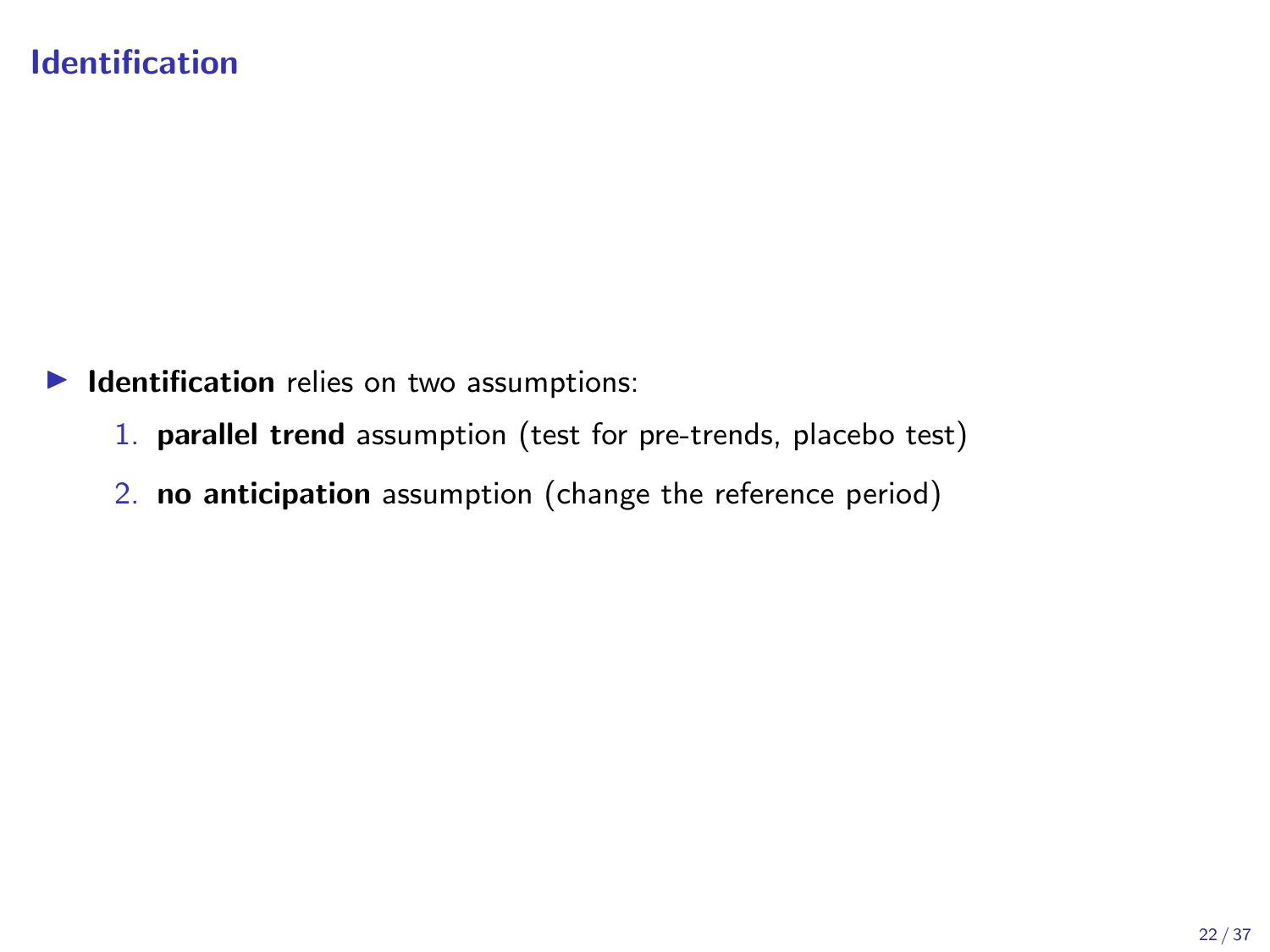### Identification

 $\blacktriangleright$  Identification relies on two assumptions:

- 1. parallel trend assumption (test for pre-trends, placebo test)
- 2. no anticipation assumption (change the reference period)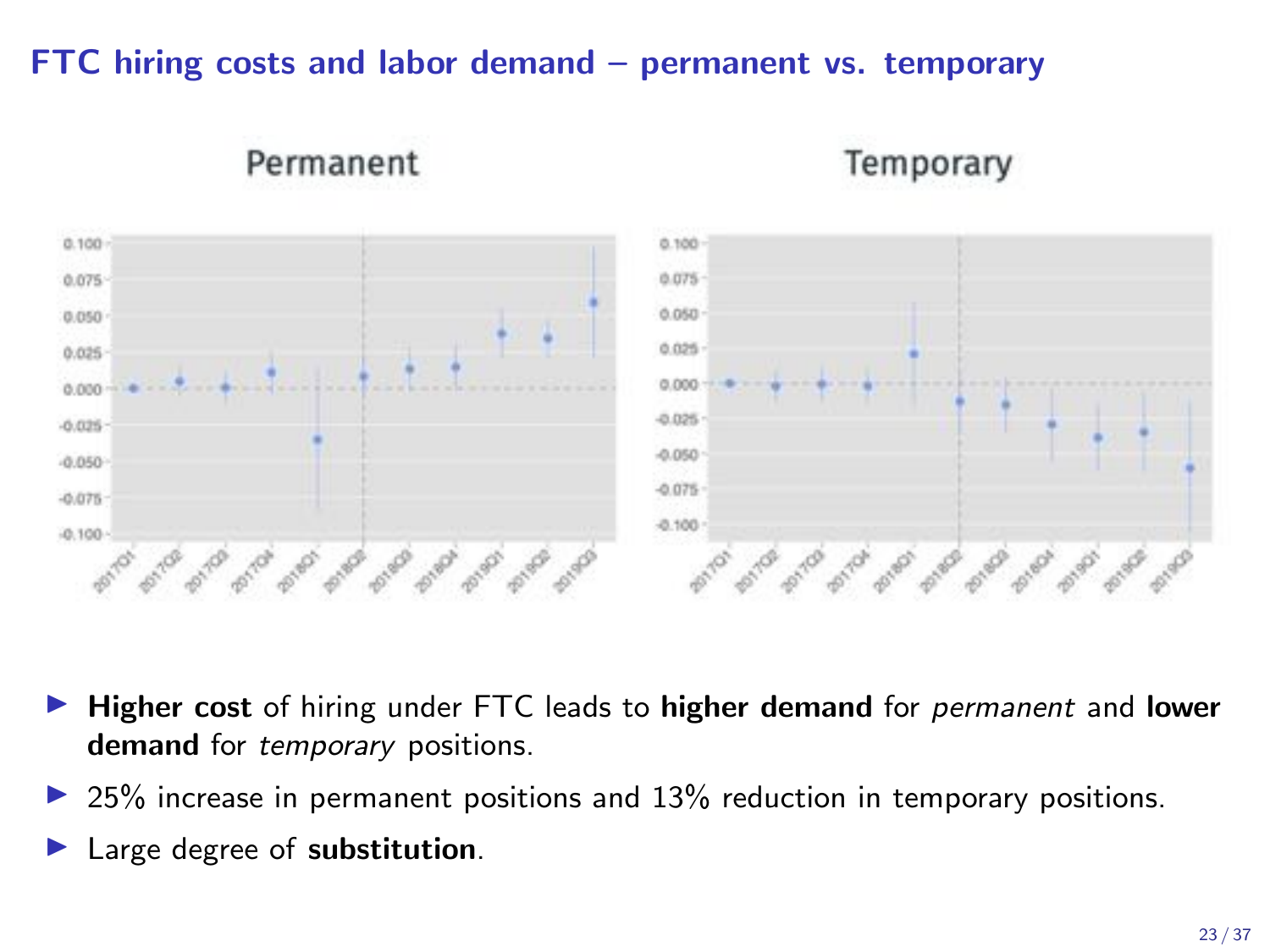### FTC hiring costs and labor demand – permanent vs. temporary



Temporary

- I Higher cost of hiring under FTC leads to higher demand for *permanent* and lower demand for *temporary* positions.
- $\triangleright$  25% increase in permanent positions and 13% reduction in temporary positions.
- Large degree of substitution.

Permanent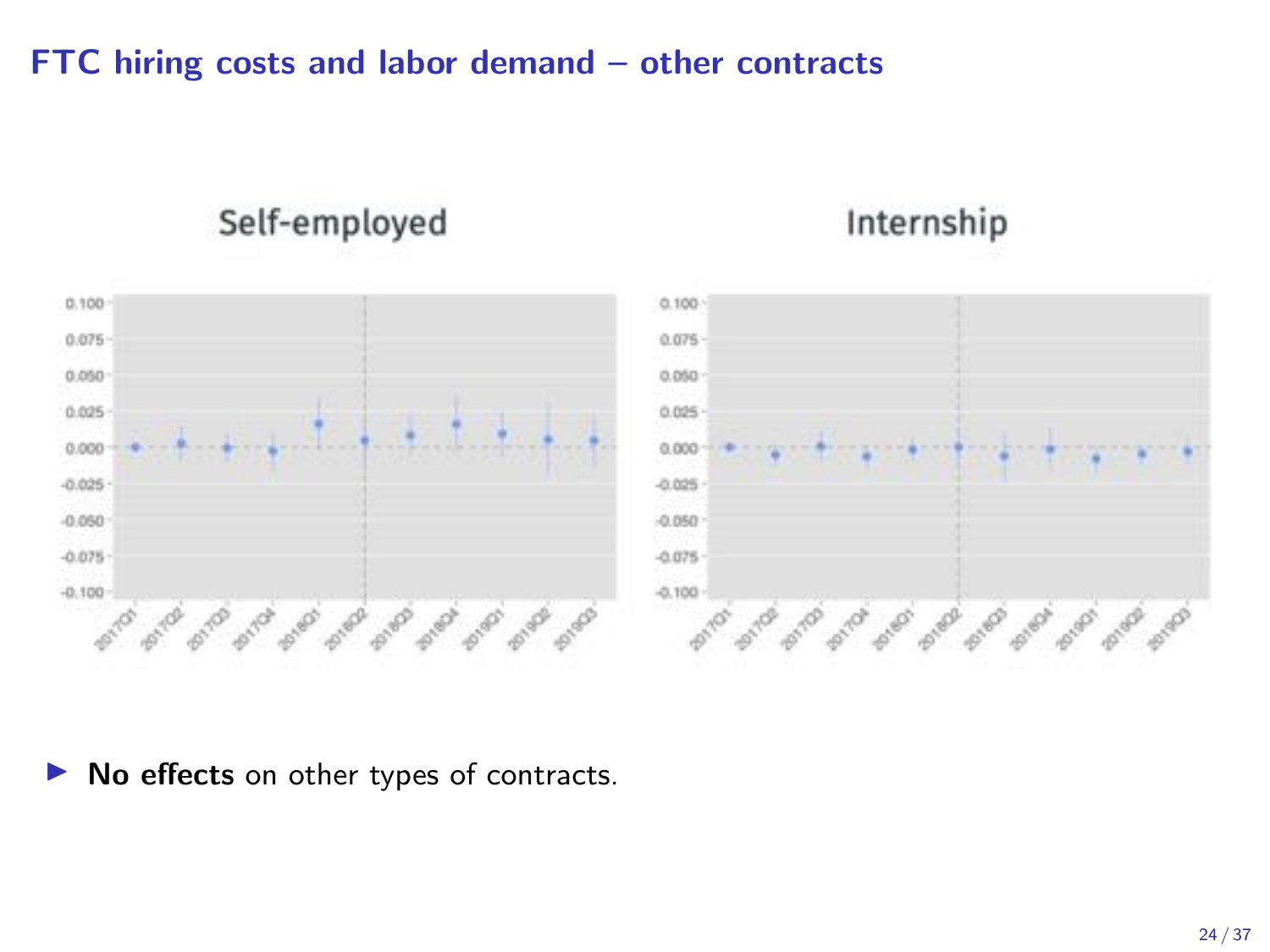### FTC hiring costs and labor demand – other contracts

### Self-employed

## Internship



 $\triangleright$  No effects on other types of contracts.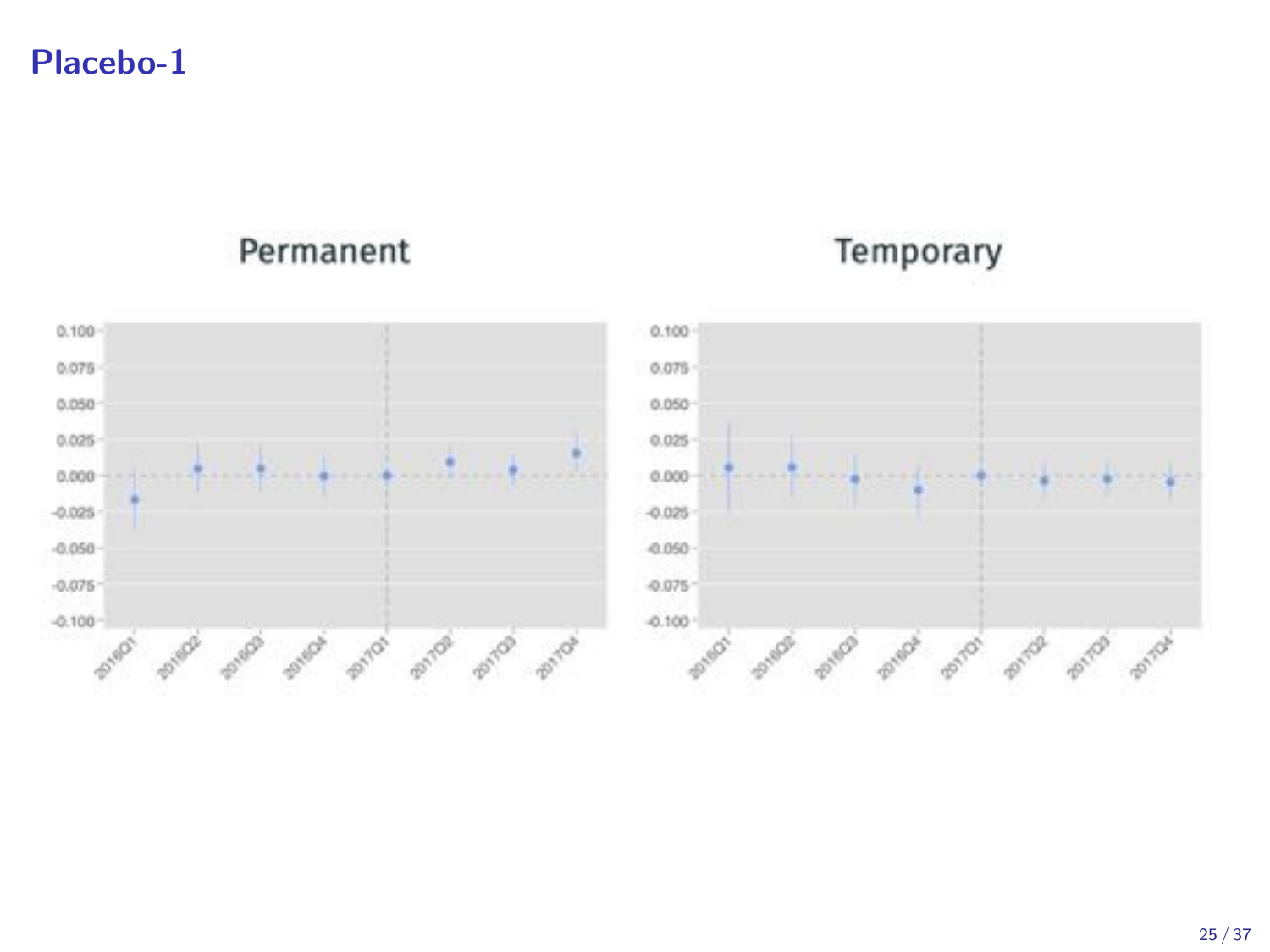### Placebo-1

### Permanent

## Temporary

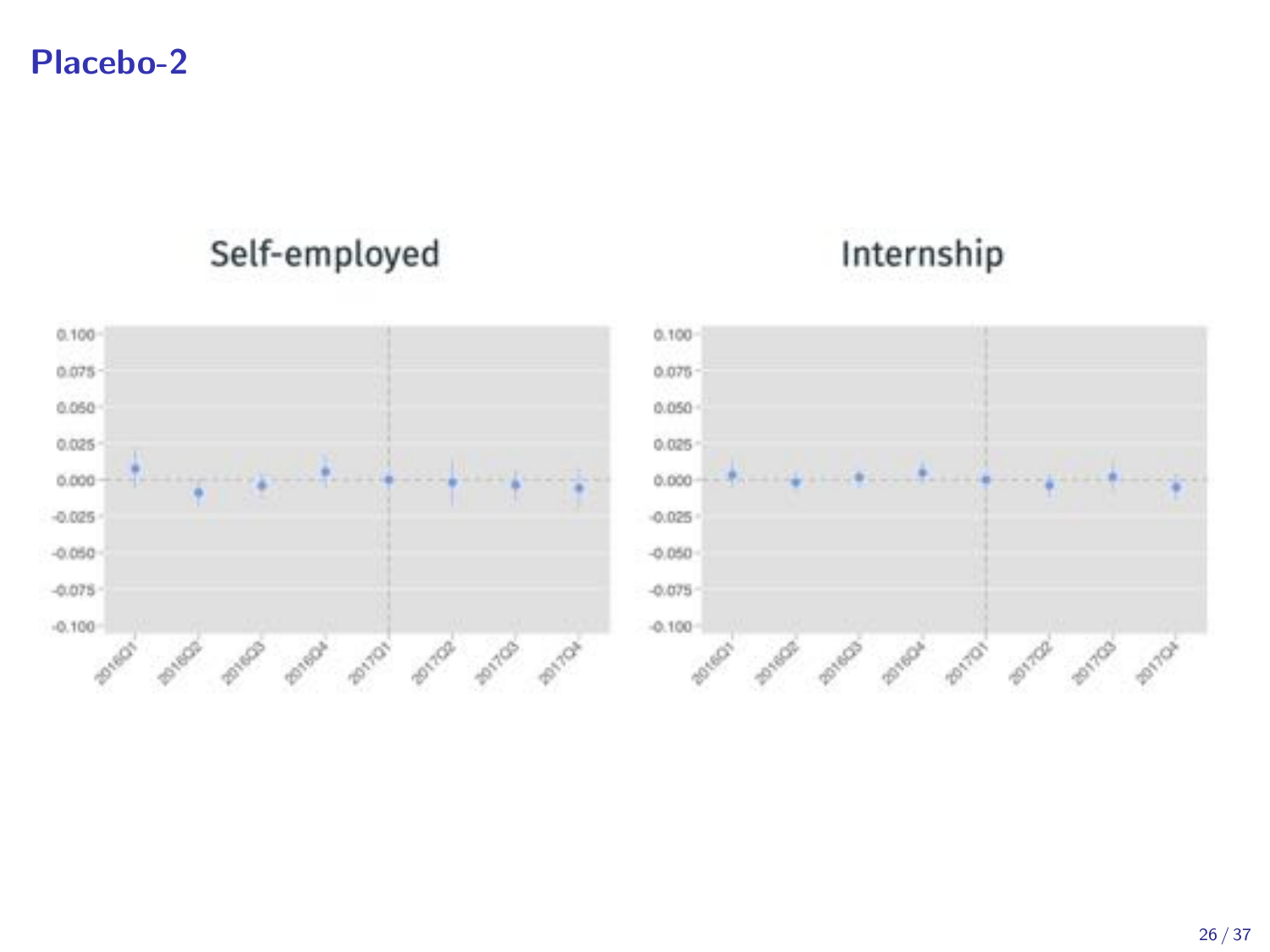Placebo-2

## Self-employed

# Internship



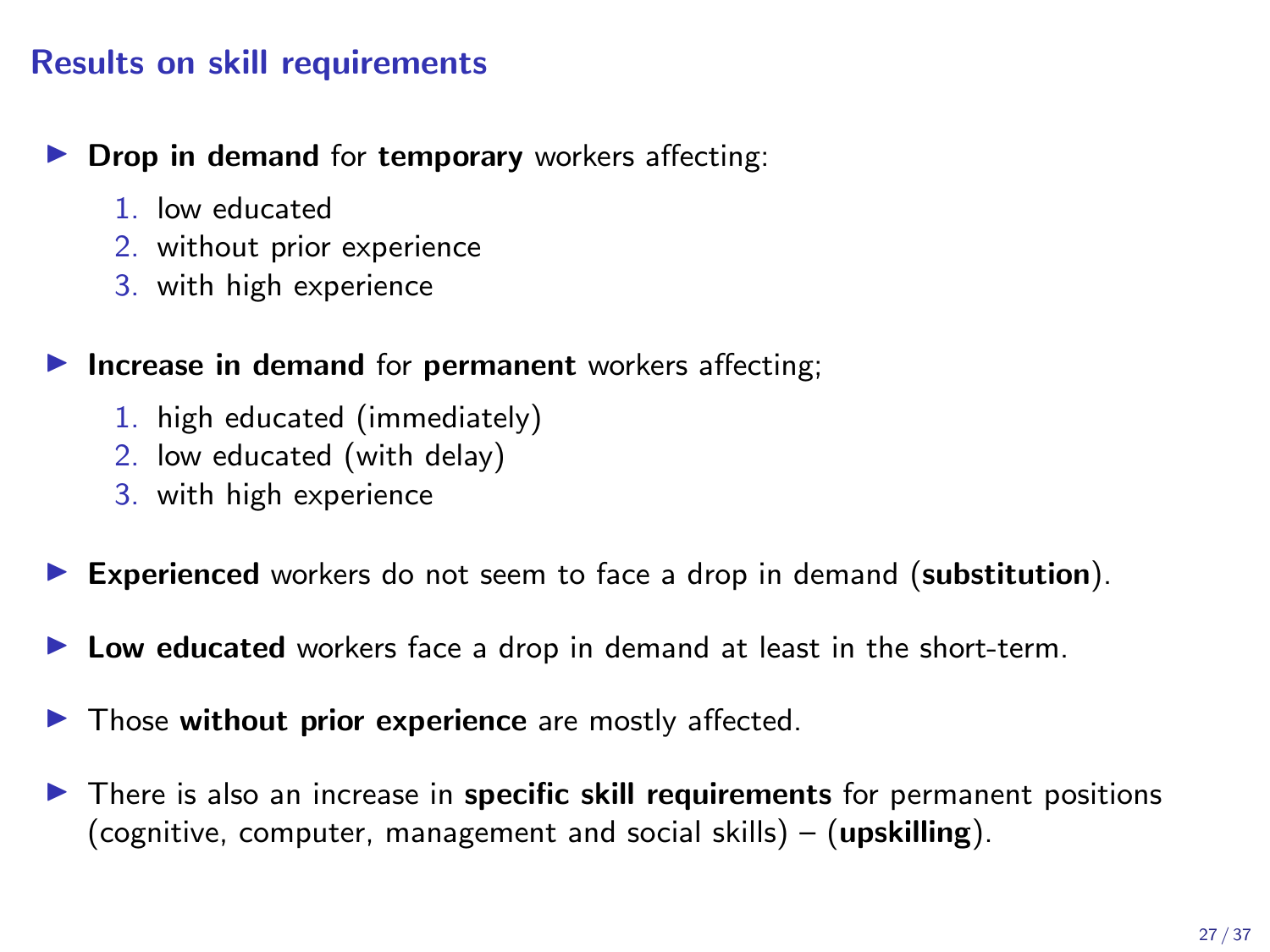### Results on skill requirements

 $\triangleright$  Drop in demand for temporary workers affecting:

- 1. low educated
- 2. without prior experience
- 3. with high experience

Increase in demand for permanent workers affecting;

- 1. high educated (immediately)
- 2. low educated (with delay)
- 3. with high experience
- Experienced workers do not seem to face a drop in demand (substitution).
- $\blacktriangleright$  Low educated workers face a drop in demand at least in the short-term.
- $\blacktriangleright$  Those without prior experience are mostly affected.
- $\blacktriangleright$  There is also an increase in specific skill requirements for permanent positions (cognitive, computer, management and social skills) –  $(upskilling)$ .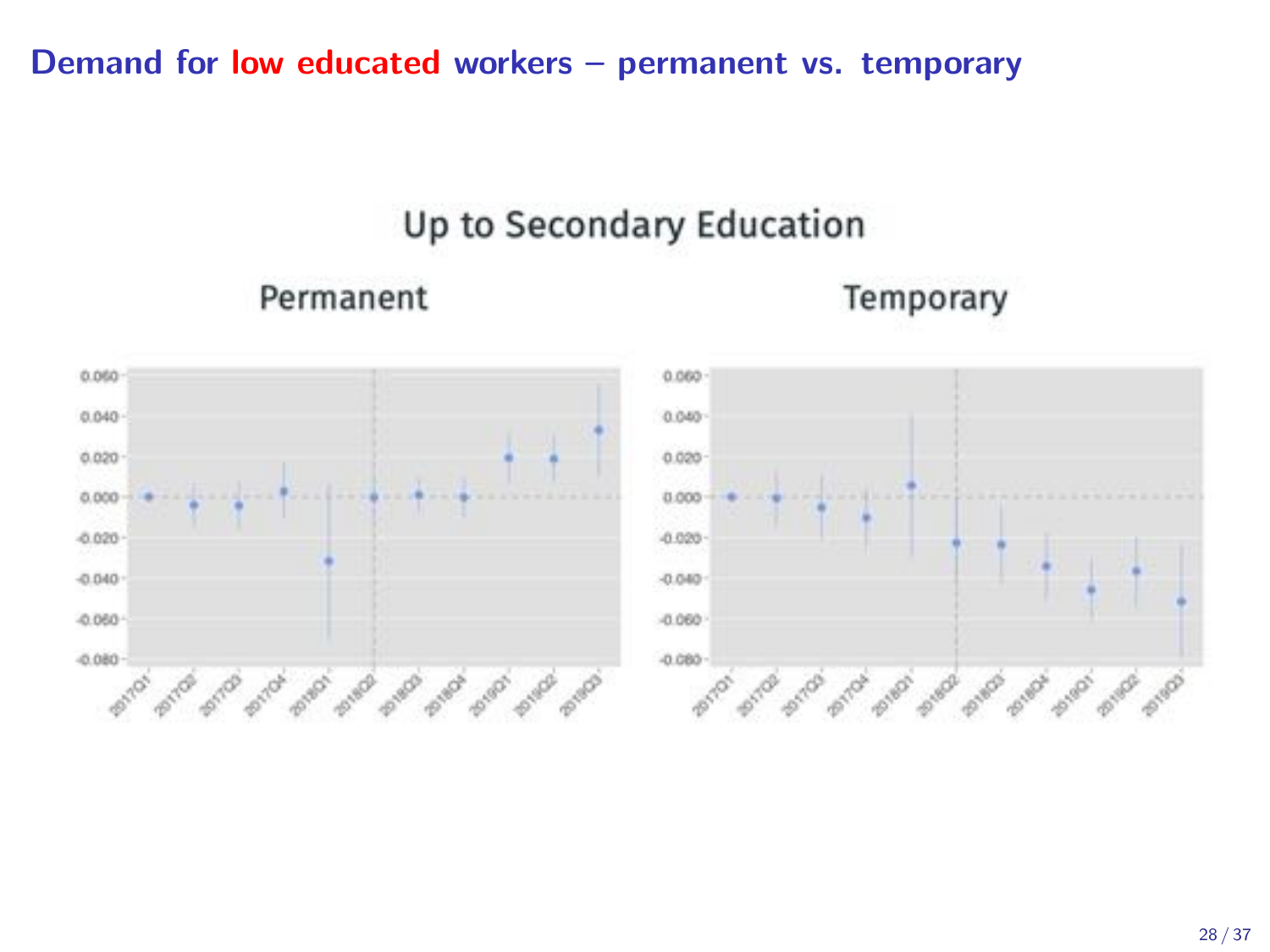Demand for low educated workers – permanent vs. temporary

## Up to Secondary Education

### Permanent

Temporary

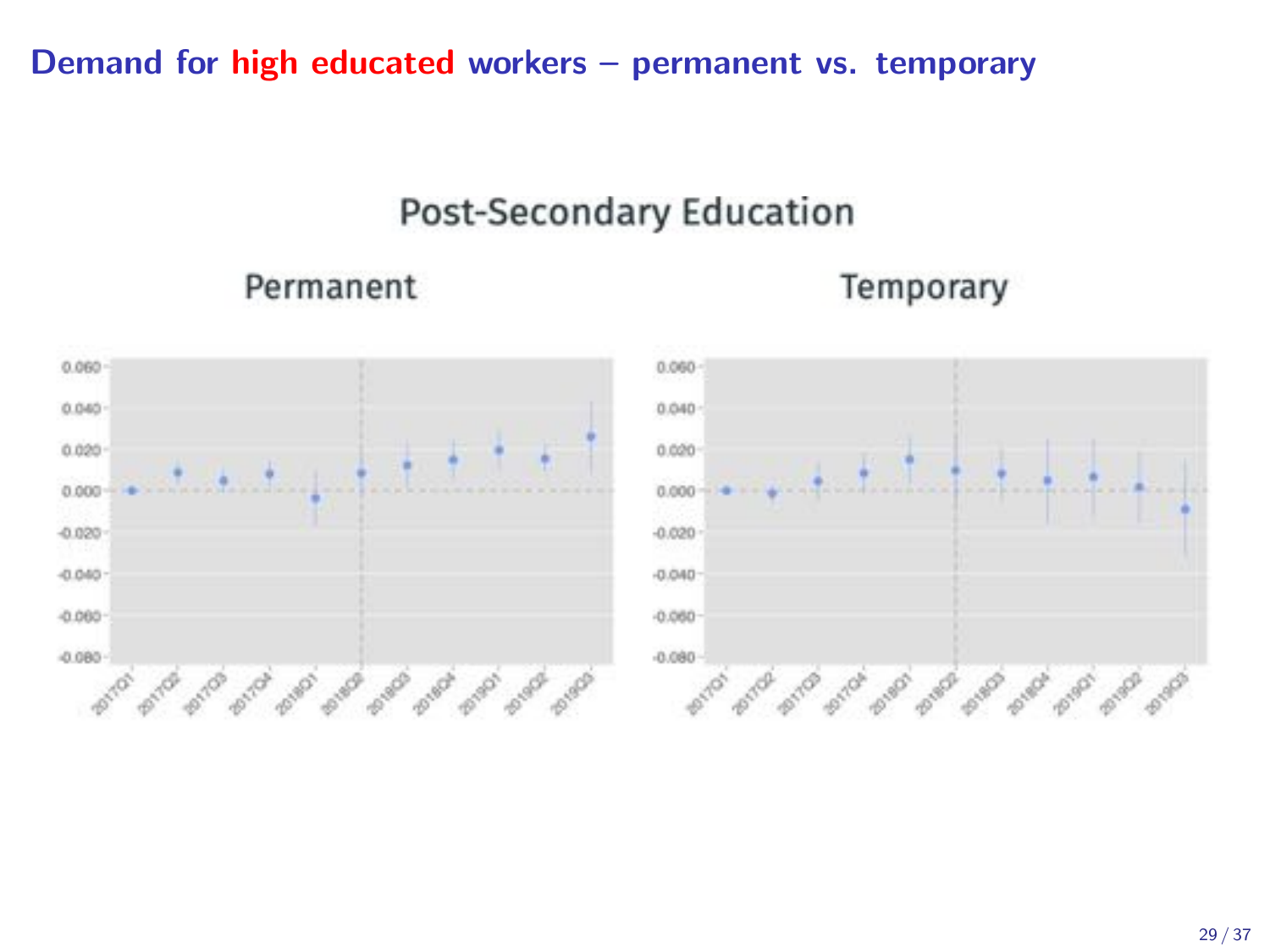### Demand for high educated workers – permanent vs. temporary

## **Post-Secondary Education**

### Permanent

### Temporary



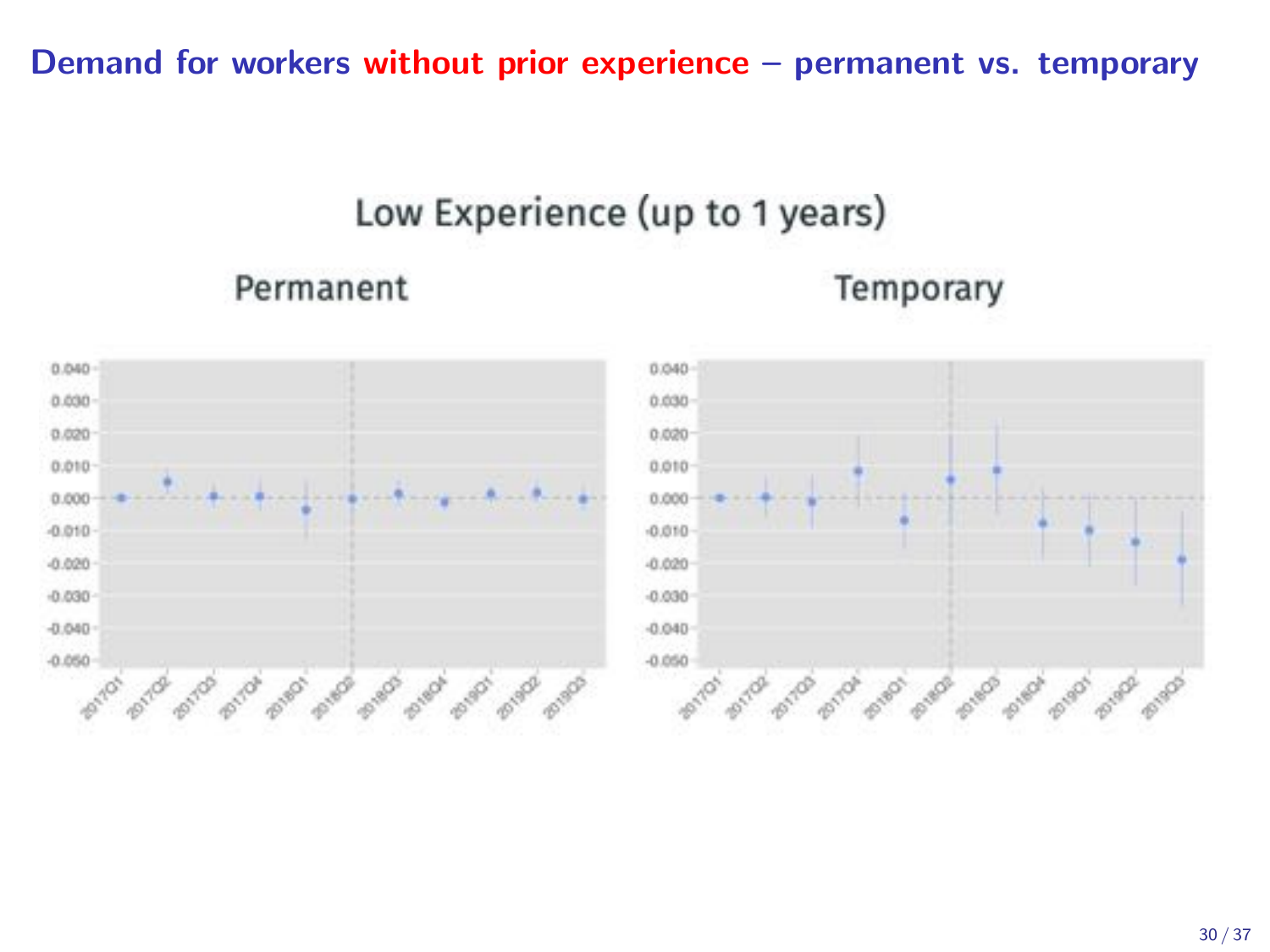Demand for workers without prior experience – permanent vs. temporary

## Low Experience (up to 1 years)

Permanent

Temporary



30 / 37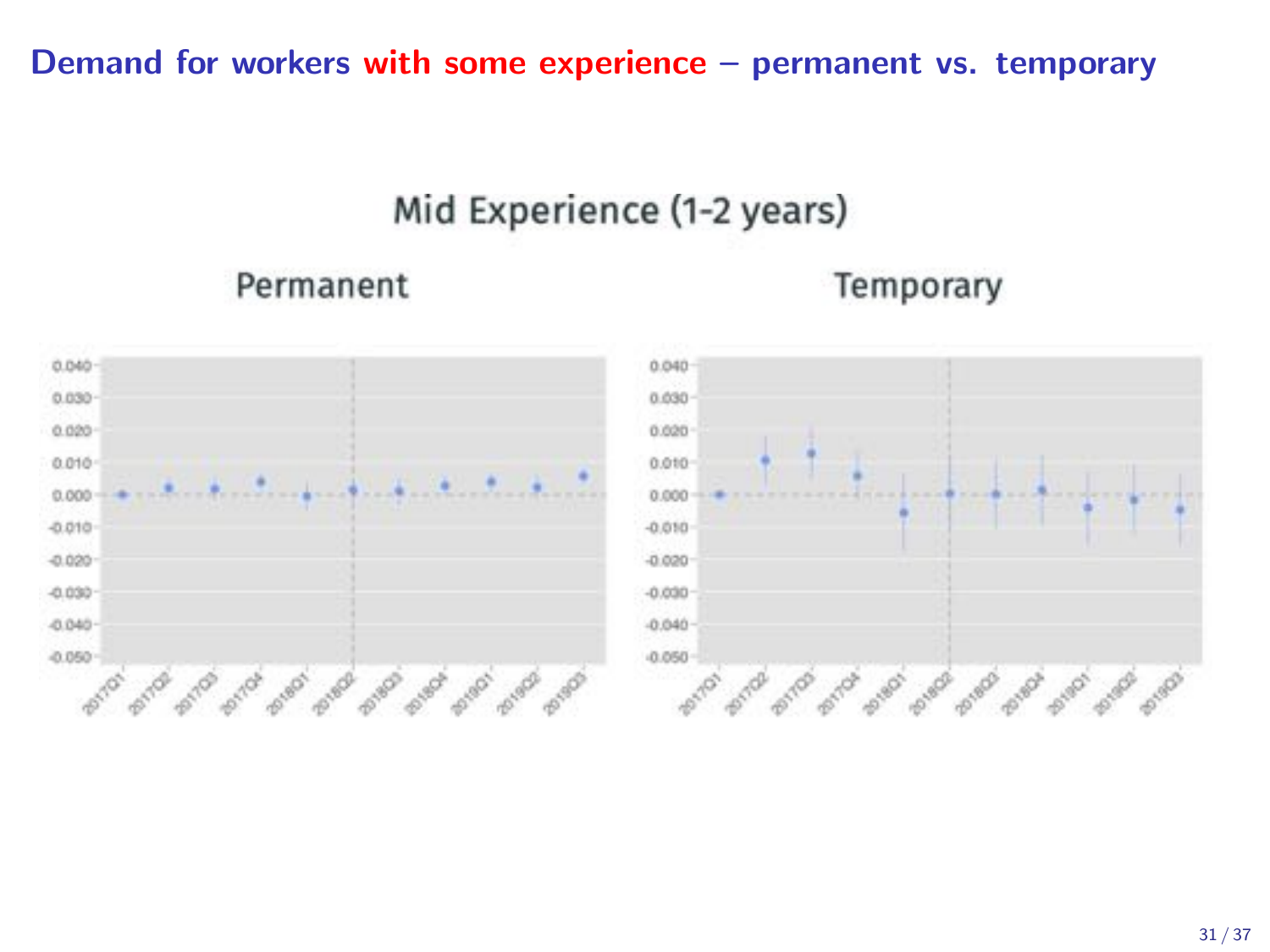Demand for workers with some experience – permanent vs. temporary

## Mid Experience (1-2 years)

### Permanent

### Temporary

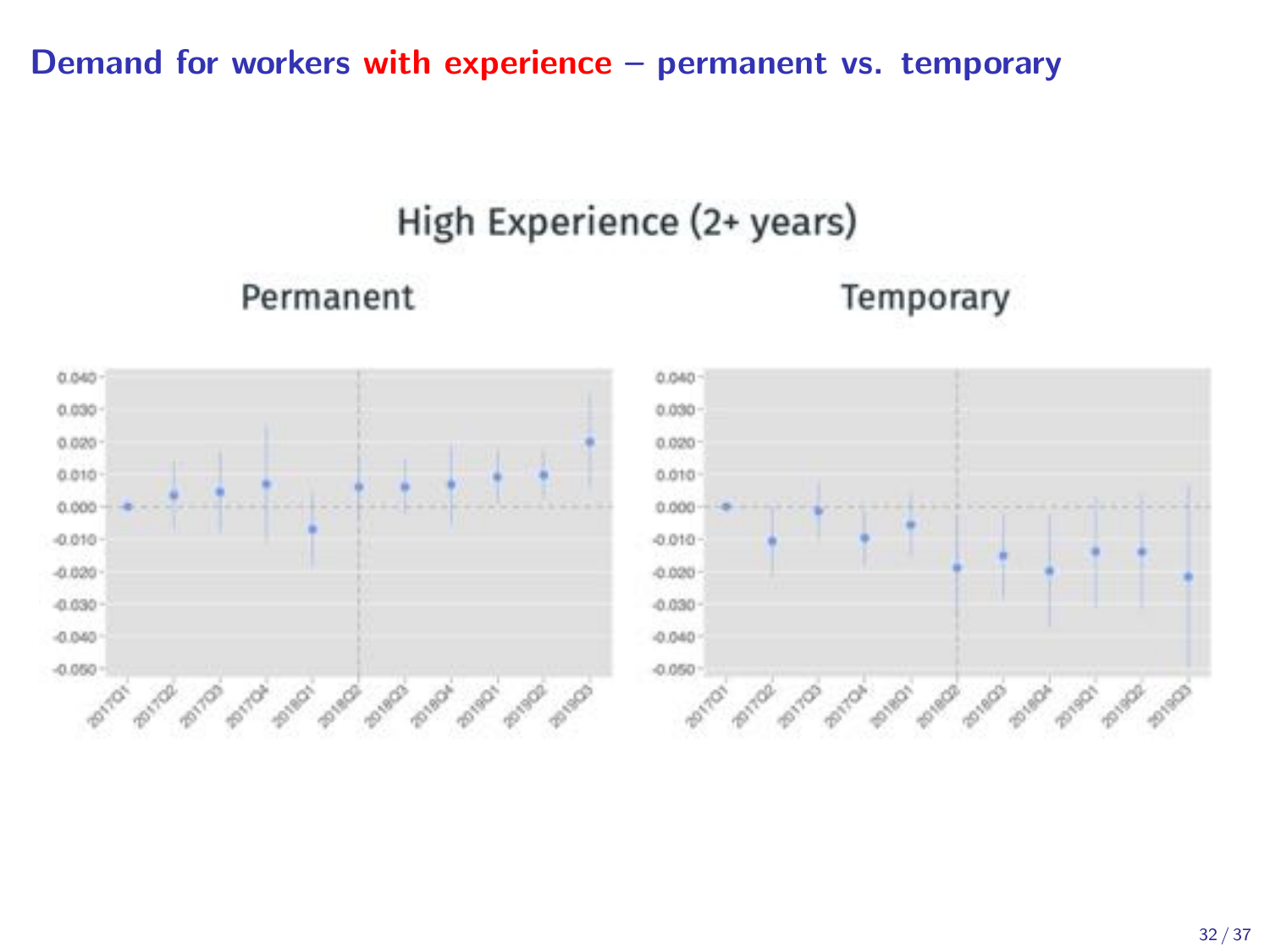Demand for workers with experience – permanent vs. temporary

## High Experience (2+ years)

Permanent

Temporary

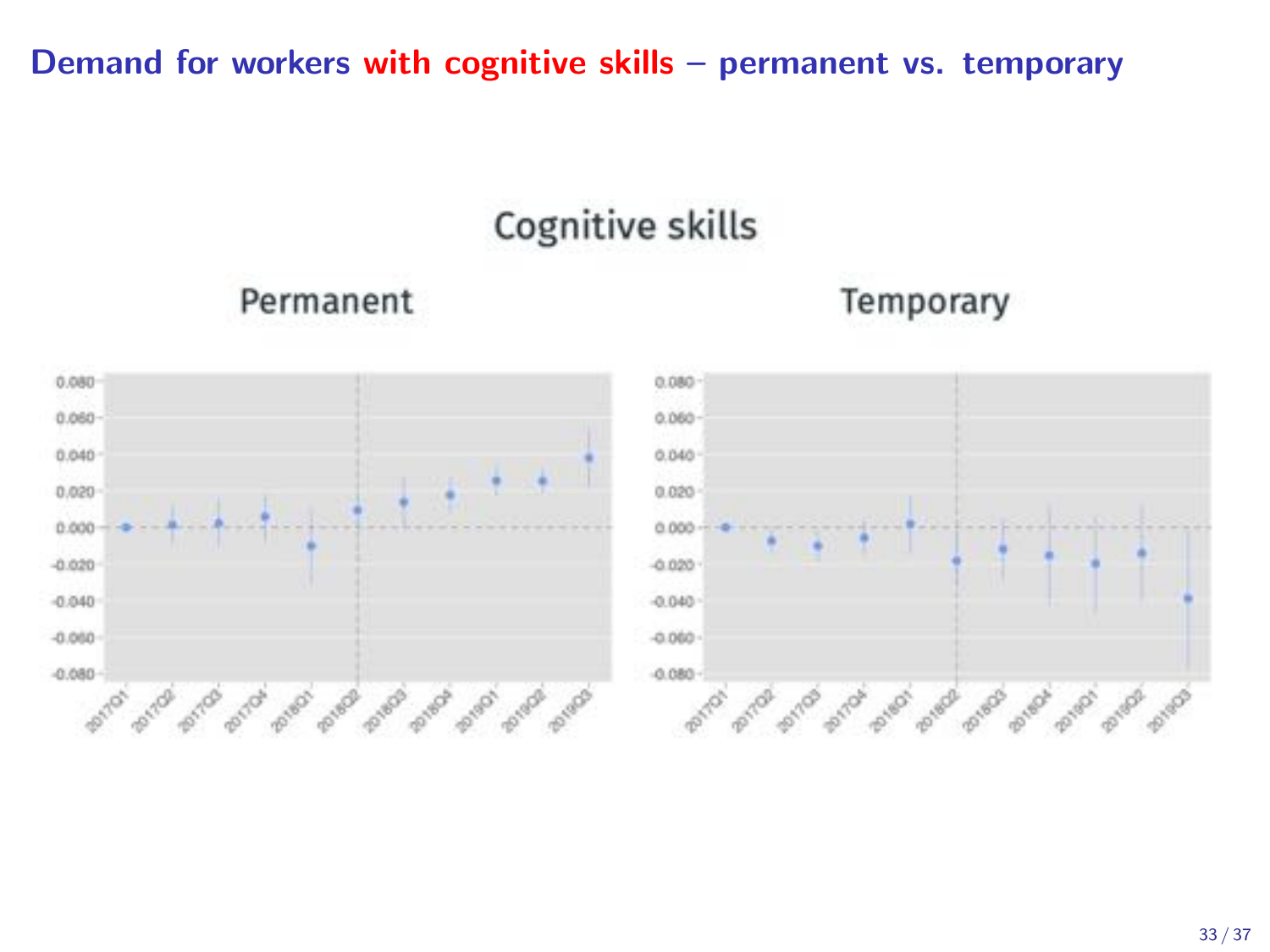### Demand for workers with cognitive skills – permanent vs. temporary

# Cognitive skills

### Permanent





#### 33 / 37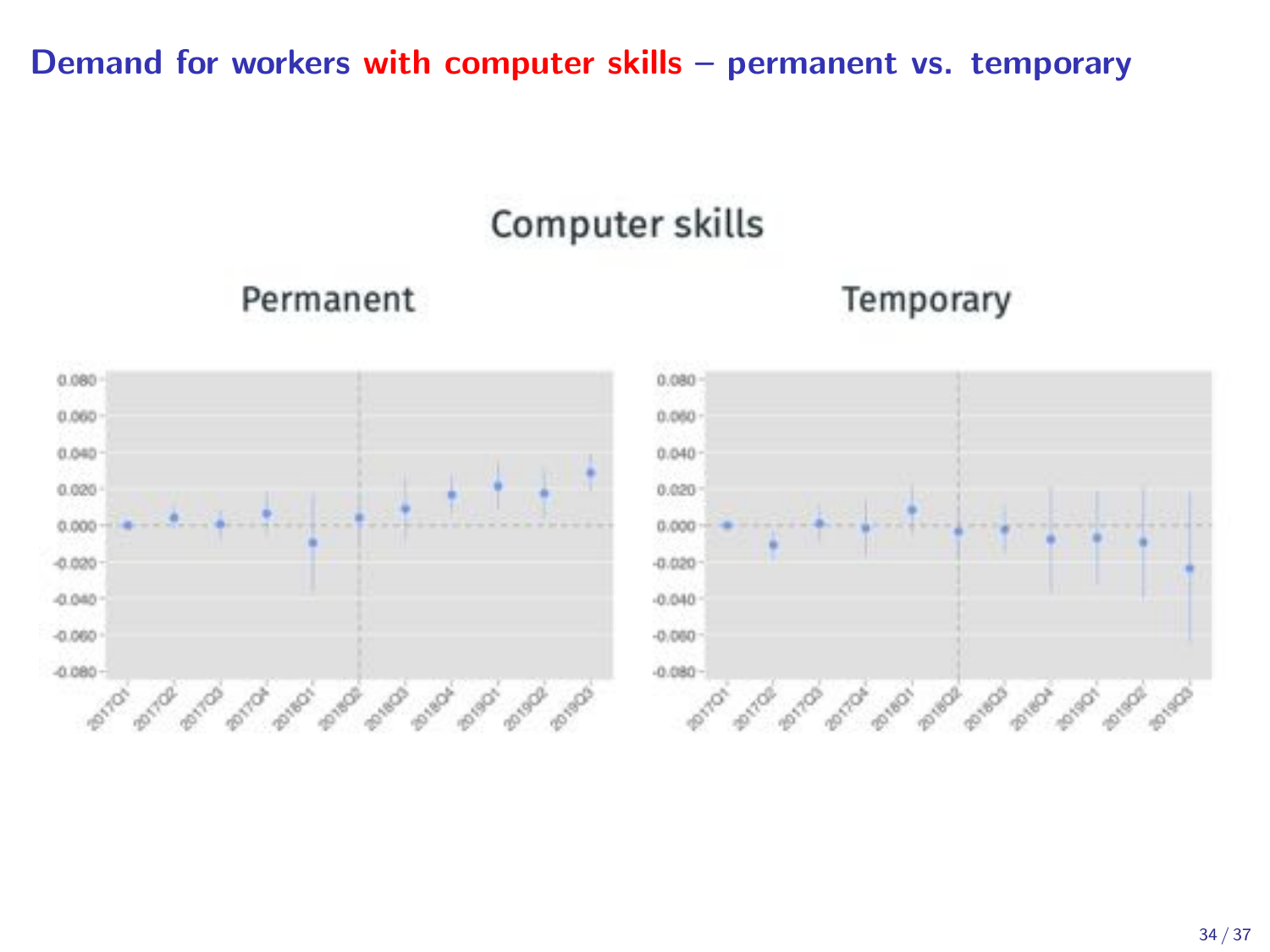### Demand for workers with computer skills – permanent vs. temporary

## Computer skills

### Permanent

### Temporary

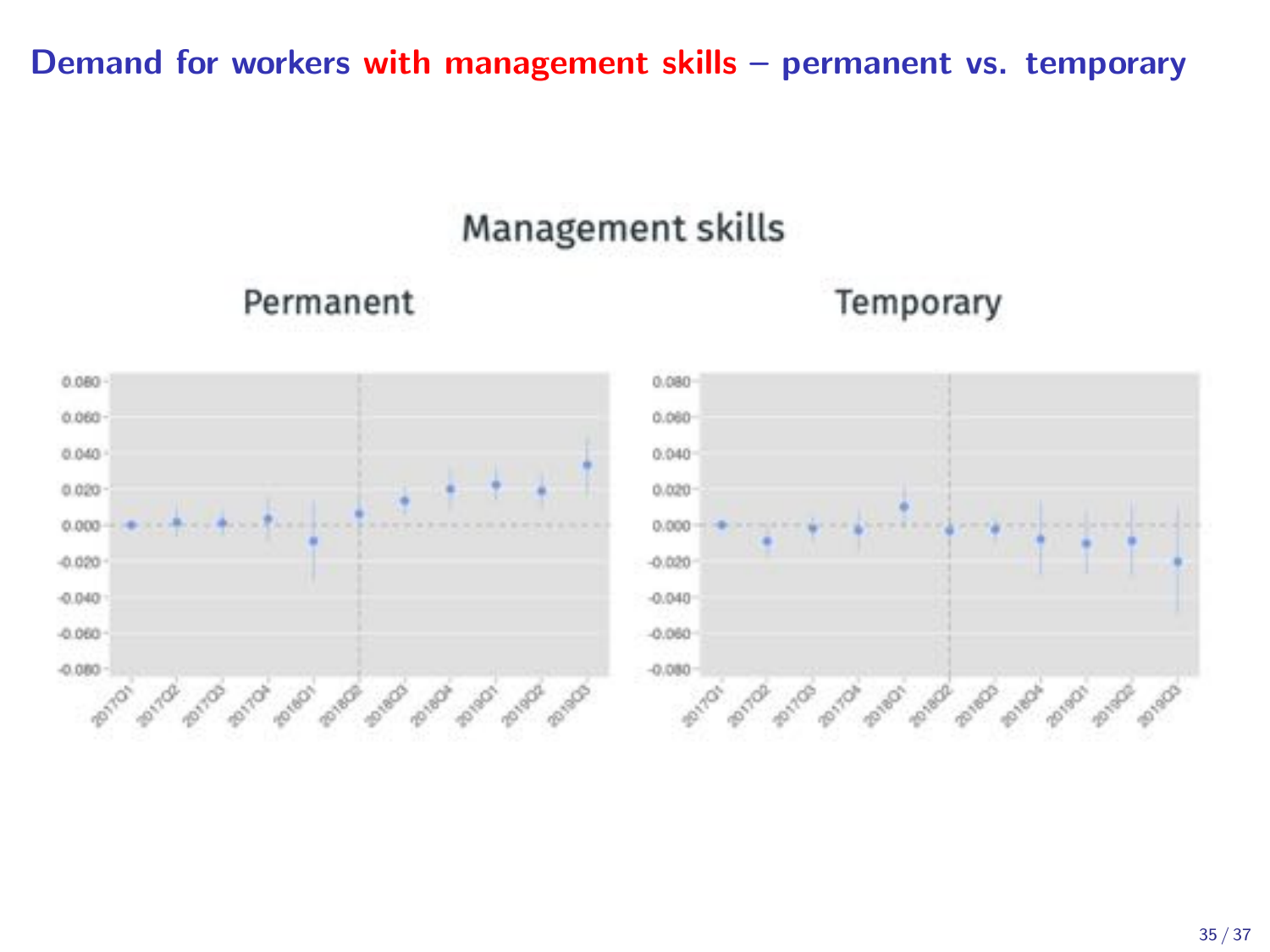### Demand for workers with management skills – permanent vs. temporary

## Management skills

Permanent



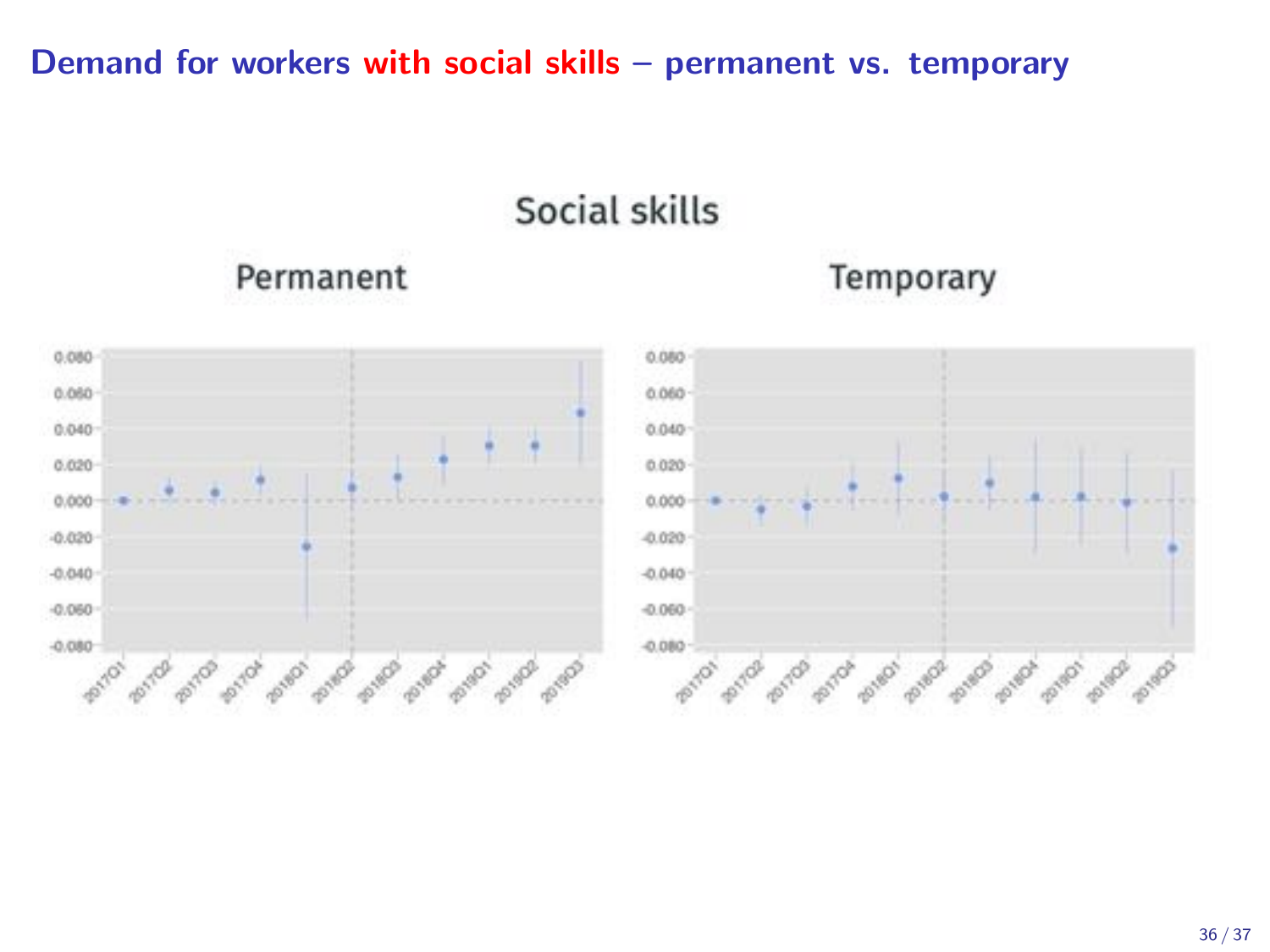### Demand for workers with social skills – permanent vs. temporary

Social skills



Permanent



Temporary

#### 36 / 37